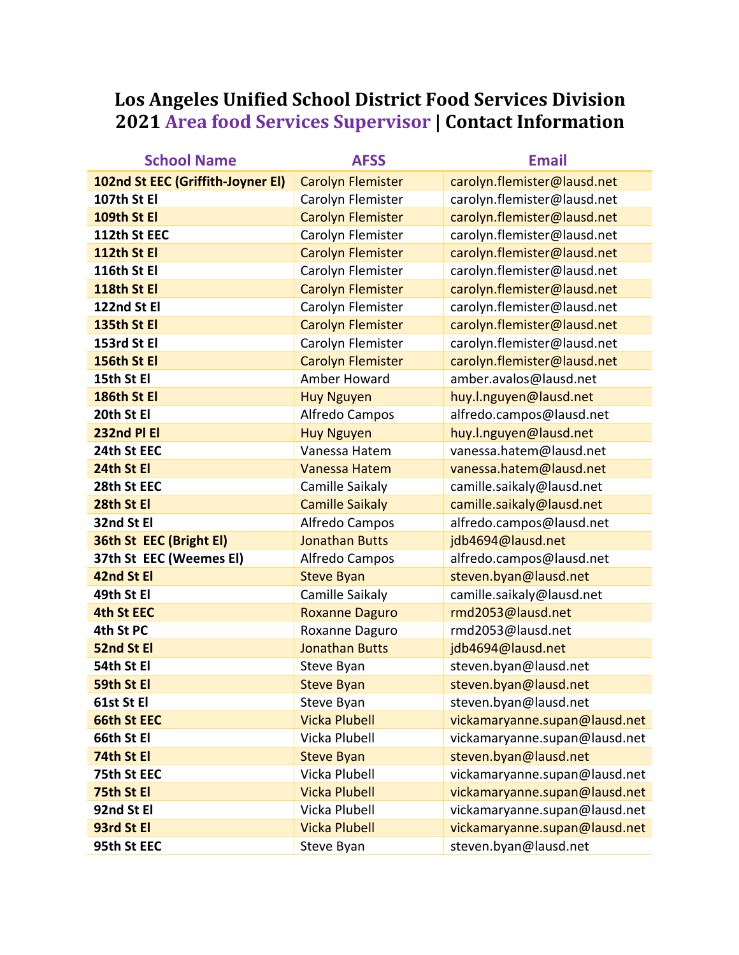## Los Angeles Unified School District Food Services Division **2021 Area food Services Supervisor | Contact Information**

| <b>School Name</b>                | <b>AFSS</b>              | <b>Email</b>                  |
|-----------------------------------|--------------------------|-------------------------------|
| 102nd St EEC (Griffith-Joyner El) | <b>Carolyn Flemister</b> | carolyn.flemister@lausd.net   |
| 107th St El                       | Carolyn Flemister        | carolyn.flemister@lausd.net   |
| 109th St El                       | <b>Carolyn Flemister</b> | carolyn.flemister@lausd.net   |
| 112th St EEC                      | Carolyn Flemister        | carolyn.flemister@lausd.net   |
| 112th St El                       | <b>Carolyn Flemister</b> | carolyn.flemister@lausd.net   |
| 116th St El                       | Carolyn Flemister        | carolyn.flemister@lausd.net   |
| 118th St El                       | <b>Carolyn Flemister</b> | carolyn.flemister@lausd.net   |
| 122nd St El                       | Carolyn Flemister        | carolyn.flemister@lausd.net   |
| 135th St El                       | <b>Carolyn Flemister</b> | carolyn.flemister@lausd.net   |
| 153rd St El                       | Carolyn Flemister        | carolyn.flemister@lausd.net   |
| 156th St El                       | <b>Carolyn Flemister</b> | carolyn.flemister@lausd.net   |
| 15th St El                        | Amber Howard             | amber.avalos@lausd.net        |
| 186th St El                       | <b>Huy Nguyen</b>        | huy.l.nguyen@lausd.net        |
| 20th St El                        | Alfredo Campos           | alfredo.campos@lausd.net      |
| 232nd PI EI                       | <b>Huy Nguyen</b>        | huy.l.nguyen@lausd.net        |
| 24th St EEC                       | Vanessa Hatem            | vanessa.hatem@lausd.net       |
| 24th St El                        | <b>Vanessa Hatem</b>     | vanessa.hatem@lausd.net       |
| 28th St EEC                       | Camille Saikaly          | camille.saikaly@lausd.net     |
| 28th St El                        | <b>Camille Saikaly</b>   | camille.saikaly@lausd.net     |
| 32nd St El                        | Alfredo Campos           | alfredo.campos@lausd.net      |
| 36th St EEC (Bright El)           | <b>Jonathan Butts</b>    | jdb4694@lausd.net             |
| 37th St EEC (Weemes El)           | Alfredo Campos           | alfredo.campos@lausd.net      |
| 42nd St El                        | <b>Steve Byan</b>        | steven.byan@lausd.net         |
| 49th St El                        | Camille Saikaly          | camille.saikaly@lausd.net     |
| <b>4th St EEC</b>                 | <b>Roxanne Daguro</b>    | rmd2053@lausd.net             |
| 4th St PC                         | Roxanne Daguro           | rmd2053@lausd.net             |
| 52nd St El                        | <b>Jonathan Butts</b>    | jdb4694@lausd.net             |
| 54th St El                        | Steve Byan               | steven.byan@lausd.net         |
| 59th St El                        | <b>Steve Byan</b>        | steven.byan@lausd.net         |
| 61st St El                        | Steve Byan               | steven.byan@lausd.net         |
| <b>66th St EEC</b>                | <b>Vicka Plubell</b>     | vickamaryanne.supan@lausd.net |
| 66th St El                        | Vicka Plubell            | vickamaryanne.supan@lausd.net |
| 74th St El                        | <b>Steve Byan</b>        | steven.byan@lausd.net         |
| 75th St EEC                       | Vicka Plubell            | vickamaryanne.supan@lausd.net |
| 75th St El                        | <b>Vicka Plubell</b>     | vickamaryanne.supan@lausd.net |
| 92nd St El                        | Vicka Plubell            | vickamaryanne.supan@lausd.net |
| 93rd St El                        | <b>Vicka Plubell</b>     | vickamaryanne.supan@lausd.net |
| 95th St EEC                       | Steve Byan               | steven.byan@lausd.net         |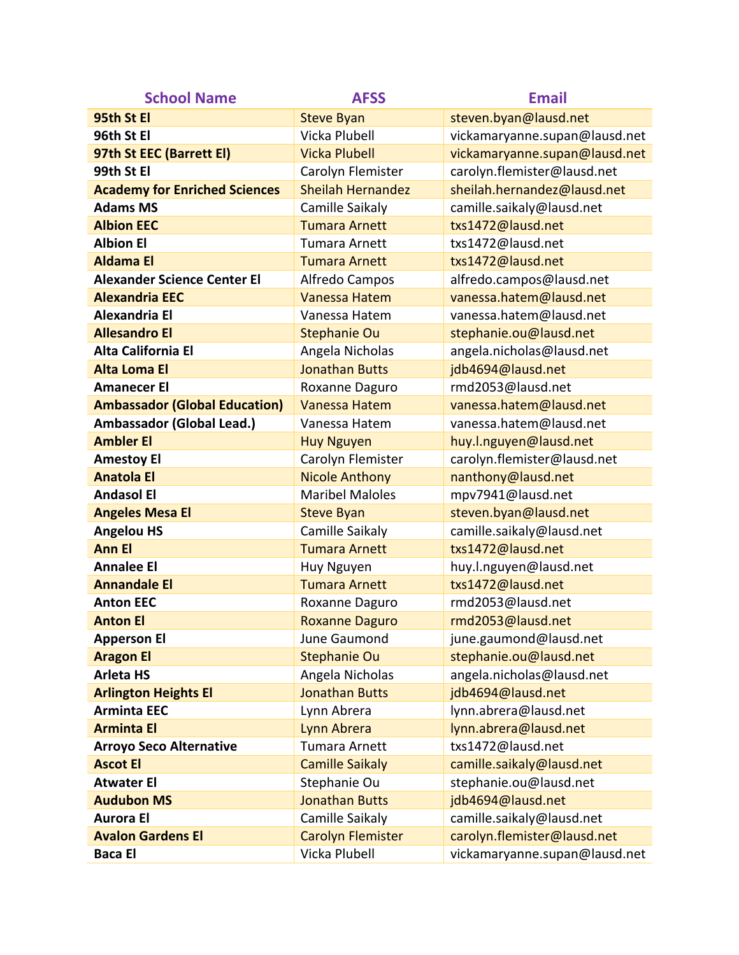| <b>School Name</b>                   | <b>AFSS</b>              | <b>Email</b>                  |
|--------------------------------------|--------------------------|-------------------------------|
| 95th St El                           | <b>Steve Byan</b>        | steven.byan@lausd.net         |
| 96th St El                           | Vicka Plubell            | vickamaryanne.supan@lausd.net |
| 97th St EEC (Barrett El)             | <b>Vicka Plubell</b>     | vickamaryanne.supan@lausd.net |
| 99th St El                           | Carolyn Flemister        | carolyn.flemister@lausd.net   |
| <b>Academy for Enriched Sciences</b> | <b>Sheilah Hernandez</b> | sheilah.hernandez@lausd.net   |
| <b>Adams MS</b>                      | Camille Saikaly          | camille.saikaly@lausd.net     |
| <b>Albion EEC</b>                    | <b>Tumara Arnett</b>     | txs1472@lausd.net             |
| <b>Albion El</b>                     | <b>Tumara Arnett</b>     | txs1472@lausd.net             |
| <b>Aldama El</b>                     | <b>Tumara Arnett</b>     | txs1472@lausd.net             |
| <b>Alexander Science Center El</b>   | Alfredo Campos           | alfredo.campos@lausd.net      |
| <b>Alexandria EEC</b>                | <b>Vanessa Hatem</b>     | vanessa.hatem@lausd.net       |
| <b>Alexandria El</b>                 | Vanessa Hatem            | vanessa.hatem@lausd.net       |
| <b>Allesandro El</b>                 | <b>Stephanie Ou</b>      | stephanie.ou@lausd.net        |
| Alta California El                   | Angela Nicholas          | angela.nicholas@lausd.net     |
| <b>Alta Loma El</b>                  | <b>Jonathan Butts</b>    | jdb4694@lausd.net             |
| <b>Amanecer El</b>                   | Roxanne Daguro           | rmd2053@lausd.net             |
| <b>Ambassador (Global Education)</b> | <b>Vanessa Hatem</b>     | vanessa.hatem@lausd.net       |
| Ambassador (Global Lead.)            | Vanessa Hatem            | vanessa.hatem@lausd.net       |
| <b>Ambler El</b>                     | <b>Huy Nguyen</b>        | huy.l.nguyen@lausd.net        |
| <b>Amestoy El</b>                    | Carolyn Flemister        | carolyn.flemister@lausd.net   |
| <b>Anatola El</b>                    | <b>Nicole Anthony</b>    | nanthony@lausd.net            |
| <b>Andasol El</b>                    | <b>Maribel Maloles</b>   | mpv7941@lausd.net             |
| <b>Angeles Mesa El</b>               | <b>Steve Byan</b>        | steven.byan@lausd.net         |
| <b>Angelou HS</b>                    | Camille Saikaly          | camille.saikaly@lausd.net     |
| <b>Ann El</b>                        | <b>Tumara Arnett</b>     | txs1472@lausd.net             |
| <b>Annalee El</b>                    | Huy Nguyen               | huy.l.nguyen@lausd.net        |
| <b>Annandale El</b>                  | <b>Tumara Arnett</b>     | txs1472@lausd.net             |
| <b>Anton EEC</b>                     | Roxanne Daguro           | rmd2053@lausd.net             |
| <b>Anton El</b>                      | <b>Roxanne Daguro</b>    | rmd2053@lausd.net             |
| <b>Apperson El</b>                   | June Gaumond             | june.gaumond@lausd.net        |
| <b>Aragon El</b>                     | <b>Stephanie Ou</b>      | stephanie.ou@lausd.net        |
| <b>Arleta HS</b>                     | Angela Nicholas          | angela.nicholas@lausd.net     |
| <b>Arlington Heights El</b>          | <b>Jonathan Butts</b>    | jdb4694@lausd.net             |
| <b>Arminta EEC</b>                   | Lynn Abrera              | lynn.abrera@lausd.net         |
| <b>Arminta El</b>                    | Lynn Abrera              | lynn.abrera@lausd.net         |
| <b>Arroyo Seco Alternative</b>       | <b>Tumara Arnett</b>     | txs1472@lausd.net             |
| <b>Ascot El</b>                      | <b>Camille Saikaly</b>   | camille.saikaly@lausd.net     |
| <b>Atwater El</b>                    | Stephanie Ou             | stephanie.ou@lausd.net        |
| <b>Audubon MS</b>                    | <b>Jonathan Butts</b>    | jdb4694@lausd.net             |
| <b>Aurora El</b>                     | Camille Saikaly          | camille.saikaly@lausd.net     |
| <b>Avalon Gardens El</b>             | <b>Carolyn Flemister</b> | carolyn.flemister@lausd.net   |
| <b>Baca El</b>                       | Vicka Plubell            | vickamaryanne.supan@lausd.net |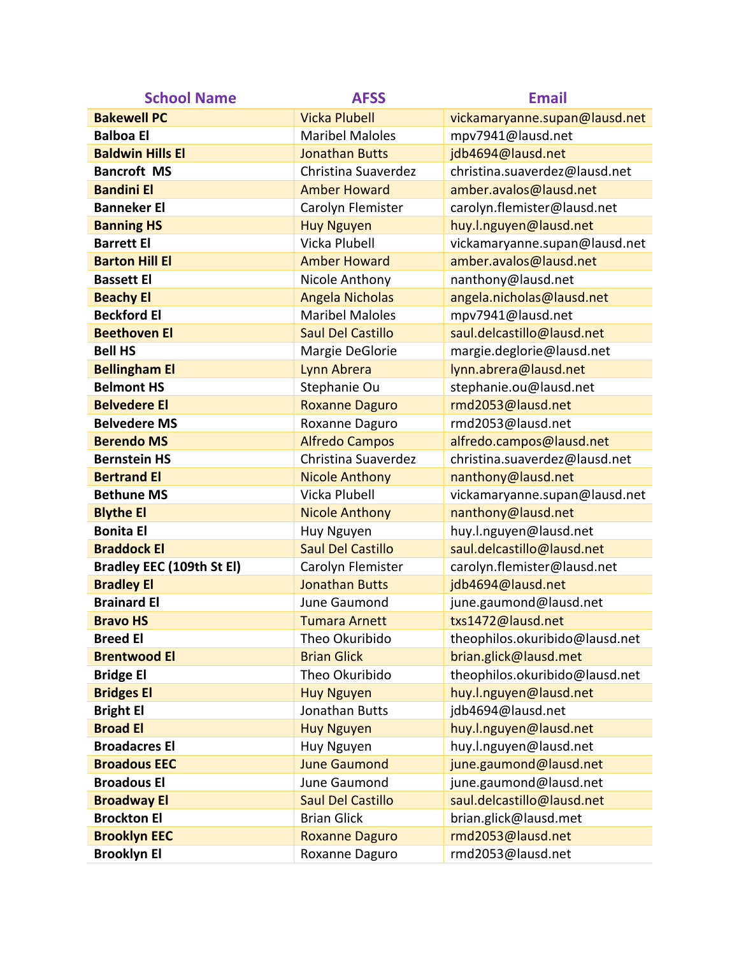| <b>School Name</b>               | <b>AFSS</b>              | <b>Email</b>                   |
|----------------------------------|--------------------------|--------------------------------|
| <b>Bakewell PC</b>               | <b>Vicka Plubell</b>     | vickamaryanne.supan@lausd.net  |
| <b>Balboa El</b>                 | <b>Maribel Maloles</b>   | mpv7941@lausd.net              |
| <b>Baldwin Hills El</b>          | <b>Jonathan Butts</b>    | jdb4694@lausd.net              |
| <b>Bancroft MS</b>               | Christina Suaverdez      | christina.suaverdez@lausd.net  |
| <b>Bandini El</b>                | <b>Amber Howard</b>      | amber.avalos@lausd.net         |
| <b>Banneker El</b>               | Carolyn Flemister        | carolyn.flemister@lausd.net    |
| <b>Banning HS</b>                | <b>Huy Nguyen</b>        | huy.l.nguyen@lausd.net         |
| <b>Barrett El</b>                | Vicka Plubell            | vickamaryanne.supan@lausd.net  |
| <b>Barton Hill El</b>            | <b>Amber Howard</b>      | amber.avalos@lausd.net         |
| <b>Bassett El</b>                | Nicole Anthony           | nanthony@lausd.net             |
| <b>Beachy El</b>                 | <b>Angela Nicholas</b>   | angela.nicholas@lausd.net      |
| <b>Beckford El</b>               | <b>Maribel Maloles</b>   | mpv7941@lausd.net              |
| <b>Beethoven El</b>              | <b>Saul Del Castillo</b> | saul.delcastillo@lausd.net     |
| <b>Bell HS</b>                   | Margie DeGlorie          | margie.deglorie@lausd.net      |
| <b>Bellingham El</b>             | Lynn Abrera              | lynn.abrera@lausd.net          |
| <b>Belmont HS</b>                | Stephanie Ou             | stephanie.ou@lausd.net         |
| <b>Belvedere El</b>              | <b>Roxanne Daguro</b>    | rmd2053@lausd.net              |
| <b>Belvedere MS</b>              | Roxanne Daguro           | rmd2053@lausd.net              |
| <b>Berendo MS</b>                | <b>Alfredo Campos</b>    | alfredo.campos@lausd.net       |
| <b>Bernstein HS</b>              | Christina Suaverdez      | christina.suaverdez@lausd.net  |
| <b>Bertrand El</b>               | <b>Nicole Anthony</b>    | nanthony@lausd.net             |
| <b>Bethune MS</b>                | Vicka Plubell            | vickamaryanne.supan@lausd.net  |
| <b>Blythe El</b>                 | <b>Nicole Anthony</b>    | nanthony@lausd.net             |
| <b>Bonita El</b>                 | Huy Nguyen               | huy.l.nguyen@lausd.net         |
| <b>Braddock El</b>               | <b>Saul Del Castillo</b> | saul.delcastillo@lausd.net     |
| <b>Bradley EEC (109th St El)</b> | Carolyn Flemister        | carolyn.flemister@lausd.net    |
| <b>Bradley El</b>                | <b>Jonathan Butts</b>    | jdb4694@lausd.net              |
| <b>Brainard El</b>               | June Gaumond             | june.gaumond@lausd.net         |
| <b>Bravo HS</b>                  | <b>Tumara Arnett</b>     | txs1472@lausd.net              |
| <b>Breed El</b>                  | Theo Okuribido           | theophilos.okuribido@lausd.net |
| <b>Brentwood El</b>              | <b>Brian Glick</b>       | brian.glick@lausd.met          |
| <b>Bridge El</b>                 | Theo Okuribido           | theophilos.okuribido@lausd.net |
| <b>Bridges El</b>                | <b>Huy Nguyen</b>        | huy.l.nguyen@lausd.net         |
| <b>Bright El</b>                 | Jonathan Butts           | jdb4694@lausd.net              |
| <b>Broad El</b>                  | <b>Huy Nguyen</b>        | huy.l.nguyen@lausd.net         |
| <b>Broadacres El</b>             | Huy Nguyen               | huy.l.nguyen@lausd.net         |
| <b>Broadous EEC</b>              | <b>June Gaumond</b>      | june.gaumond@lausd.net         |
| <b>Broadous El</b>               | June Gaumond             | june.gaumond@lausd.net         |
| <b>Broadway El</b>               | <b>Saul Del Castillo</b> | saul.delcastillo@lausd.net     |
| <b>Brockton El</b>               | <b>Brian Glick</b>       | brian.glick@lausd.met          |
| <b>Brooklyn EEC</b>              | <b>Roxanne Daguro</b>    | rmd2053@lausd.net              |
| <b>Brooklyn El</b>               | Roxanne Daguro           | rmd2053@lausd.net              |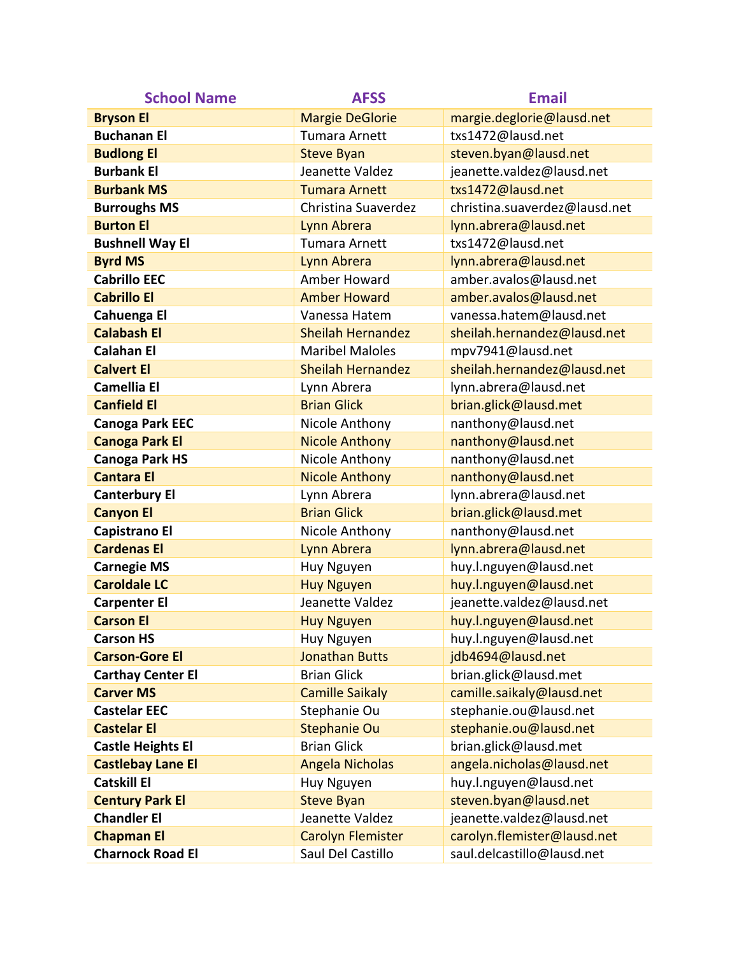| <b>School Name</b>       | <b>AFSS</b>              | <b>Email</b>                  |
|--------------------------|--------------------------|-------------------------------|
| <b>Bryson El</b>         | <b>Margie DeGlorie</b>   | margie.deglorie@lausd.net     |
| <b>Buchanan El</b>       | <b>Tumara Arnett</b>     | txs1472@lausd.net             |
| <b>Budlong El</b>        | <b>Steve Byan</b>        | steven.byan@lausd.net         |
| <b>Burbank El</b>        | Jeanette Valdez          | jeanette.valdez@lausd.net     |
| <b>Burbank MS</b>        | <b>Tumara Arnett</b>     | txs1472@lausd.net             |
| <b>Burroughs MS</b>      | Christina Suaverdez      | christina.suaverdez@lausd.net |
| <b>Burton El</b>         | Lynn Abrera              | lynn.abrera@lausd.net         |
| <b>Bushnell Way El</b>   | <b>Tumara Arnett</b>     | txs1472@lausd.net             |
| <b>Byrd MS</b>           | Lynn Abrera              | lynn.abrera@lausd.net         |
| <b>Cabrillo EEC</b>      | Amber Howard             | amber.avalos@lausd.net        |
| <b>Cabrillo El</b>       | <b>Amber Howard</b>      | amber.avalos@lausd.net        |
| Cahuenga El              | Vanessa Hatem            | vanessa.hatem@lausd.net       |
| <b>Calabash El</b>       | <b>Sheilah Hernandez</b> | sheilah.hernandez@lausd.net   |
| <b>Calahan El</b>        | <b>Maribel Maloles</b>   | mpv7941@lausd.net             |
| <b>Calvert El</b>        | <b>Sheilah Hernandez</b> | sheilah.hernandez@lausd.net   |
| <b>Camellia El</b>       | Lynn Abrera              | lynn.abrera@lausd.net         |
| <b>Canfield El</b>       | <b>Brian Glick</b>       | brian.glick@lausd.met         |
| <b>Canoga Park EEC</b>   | Nicole Anthony           | nanthony@lausd.net            |
| <b>Canoga Park El</b>    | <b>Nicole Anthony</b>    | nanthony@lausd.net            |
| <b>Canoga Park HS</b>    | Nicole Anthony           | nanthony@lausd.net            |
| <b>Cantara El</b>        | <b>Nicole Anthony</b>    | nanthony@lausd.net            |
| <b>Canterbury El</b>     | Lynn Abrera              | lynn.abrera@lausd.net         |
| <b>Canyon El</b>         | <b>Brian Glick</b>       | brian.glick@lausd.met         |
| <b>Capistrano El</b>     | Nicole Anthony           | nanthony@lausd.net            |
| <b>Cardenas El</b>       | Lynn Abrera              | lynn.abrera@lausd.net         |
| <b>Carnegie MS</b>       | Huy Nguyen               | huy.l.nguyen@lausd.net        |
| <b>Caroldale LC</b>      | <b>Huy Nguyen</b>        | huy.l.nguyen@lausd.net        |
| <b>Carpenter El</b>      | Jeanette Valdez          | jeanette.valdez@lausd.net     |
| <b>Carson El</b>         | <b>Huy Nguyen</b>        | huy.l.nguyen@lausd.net        |
| <b>Carson HS</b>         | Huy Nguyen               | huy.l.nguyen@lausd.net        |
| <b>Carson-Gore El</b>    | <b>Jonathan Butts</b>    | jdb4694@lausd.net             |
| <b>Carthay Center El</b> | <b>Brian Glick</b>       | brian.glick@lausd.met         |
| <b>Carver MS</b>         | <b>Camille Saikaly</b>   | camille.saikaly@lausd.net     |
| <b>Castelar EEC</b>      | Stephanie Ou             | stephanie.ou@lausd.net        |
| <b>Castelar El</b>       | <b>Stephanie Ou</b>      | stephanie.ou@lausd.net        |
| <b>Castle Heights El</b> | <b>Brian Glick</b>       | brian.glick@lausd.met         |
| <b>Castlebay Lane El</b> | <b>Angela Nicholas</b>   | angela.nicholas@lausd.net     |
| <b>Catskill El</b>       | Huy Nguyen               | huy.l.nguyen@lausd.net        |
| <b>Century Park El</b>   | <b>Steve Byan</b>        | steven.byan@lausd.net         |
| <b>Chandler El</b>       | Jeanette Valdez          | jeanette.valdez@lausd.net     |
| <b>Chapman El</b>        | <b>Carolyn Flemister</b> | carolyn.flemister@lausd.net   |
| <b>Charnock Road El</b>  | Saul Del Castillo        | saul.delcastillo@lausd.net    |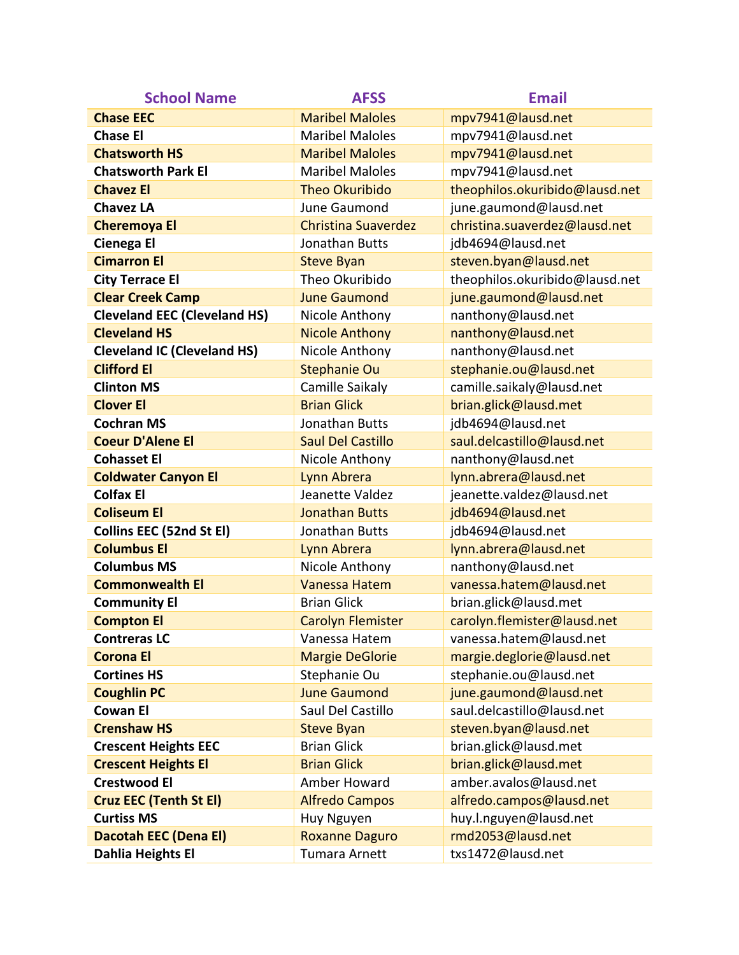| <b>School Name</b>                  | <b>AFSS</b>                | <b>Email</b>                   |
|-------------------------------------|----------------------------|--------------------------------|
| <b>Chase EEC</b>                    | <b>Maribel Maloles</b>     | mpv7941@lausd.net              |
| <b>Chase El</b>                     | <b>Maribel Maloles</b>     | mpv7941@lausd.net              |
| <b>Chatsworth HS</b>                | <b>Maribel Maloles</b>     | mpv7941@lausd.net              |
| <b>Chatsworth Park El</b>           | <b>Maribel Maloles</b>     | mpv7941@lausd.net              |
| <b>Chavez El</b>                    | <b>Theo Okuribido</b>      | theophilos.okuribido@lausd.net |
| <b>Chavez LA</b>                    | June Gaumond               | june.gaumond@lausd.net         |
| <b>Cheremoya El</b>                 | <b>Christina Suaverdez</b> | christina.suaverdez@lausd.net  |
| <b>Cienega El</b>                   | Jonathan Butts             | jdb4694@lausd.net              |
| <b>Cimarron El</b>                  | <b>Steve Byan</b>          | steven.byan@lausd.net          |
| <b>City Terrace El</b>              | Theo Okuribido             | theophilos.okuribido@lausd.net |
| <b>Clear Creek Camp</b>             | <b>June Gaumond</b>        | june.gaumond@lausd.net         |
| <b>Cleveland EEC (Cleveland HS)</b> | Nicole Anthony             | nanthony@lausd.net             |
| <b>Cleveland HS</b>                 | <b>Nicole Anthony</b>      | nanthony@lausd.net             |
| <b>Cleveland IC (Cleveland HS)</b>  | Nicole Anthony             | nanthony@lausd.net             |
| <b>Clifford El</b>                  | <b>Stephanie Ou</b>        | stephanie.ou@lausd.net         |
| <b>Clinton MS</b>                   | Camille Saikaly            | camille.saikaly@lausd.net      |
| <b>Clover El</b>                    | <b>Brian Glick</b>         | brian.glick@lausd.met          |
| <b>Cochran MS</b>                   | Jonathan Butts             | jdb4694@lausd.net              |
| <b>Coeur D'Alene El</b>             | <b>Saul Del Castillo</b>   | saul.delcastillo@lausd.net     |
| <b>Cohasset El</b>                  | Nicole Anthony             | nanthony@lausd.net             |
| <b>Coldwater Canyon El</b>          | Lynn Abrera                | lynn.abrera@lausd.net          |
| <b>Colfax El</b>                    | Jeanette Valdez            | jeanette.valdez@lausd.net      |
| <b>Coliseum El</b>                  | <b>Jonathan Butts</b>      | jdb4694@lausd.net              |
| Collins EEC (52nd St El)            | Jonathan Butts             | jdb4694@lausd.net              |
| <b>Columbus El</b>                  | Lynn Abrera                | lynn.abrera@lausd.net          |
| <b>Columbus MS</b>                  | Nicole Anthony             | nanthony@lausd.net             |
| <b>Commonwealth El</b>              | <b>Vanessa Hatem</b>       | vanessa.hatem@lausd.net        |
| <b>Community El</b>                 | <b>Brian Glick</b>         | brian.glick@lausd.met          |
| <b>Compton El</b>                   | <b>Carolyn Flemister</b>   | carolyn.flemister@lausd.net    |
| <b>Contreras LC</b>                 | Vanessa Hatem              | vanessa.hatem@lausd.net        |
| <b>Corona El</b>                    | <b>Margie DeGlorie</b>     | margie.deglorie@lausd.net      |
| <b>Cortines HS</b>                  | Stephanie Ou               | stephanie.ou@lausd.net         |
| <b>Coughlin PC</b>                  | <b>June Gaumond</b>        | june.gaumond@lausd.net         |
| <b>Cowan El</b>                     | Saul Del Castillo          | saul.delcastillo@lausd.net     |
| <b>Crenshaw HS</b>                  | <b>Steve Byan</b>          | steven.byan@lausd.net          |
| <b>Crescent Heights EEC</b>         | <b>Brian Glick</b>         | brian.glick@lausd.met          |
| <b>Crescent Heights El</b>          | <b>Brian Glick</b>         | brian.glick@lausd.met          |
| <b>Crestwood El</b>                 | Amber Howard               | amber.avalos@lausd.net         |
| <b>Cruz EEC (Tenth St El)</b>       | <b>Alfredo Campos</b>      | alfredo.campos@lausd.net       |
| <b>Curtiss MS</b>                   | Huy Nguyen                 | huy.l.nguyen@lausd.net         |
| <b>Dacotah EEC (Dena EI)</b>        | <b>Roxanne Daguro</b>      | rmd2053@lausd.net              |
| Dahlia Heights El                   | Tumara Arnett              | txs1472@lausd.net              |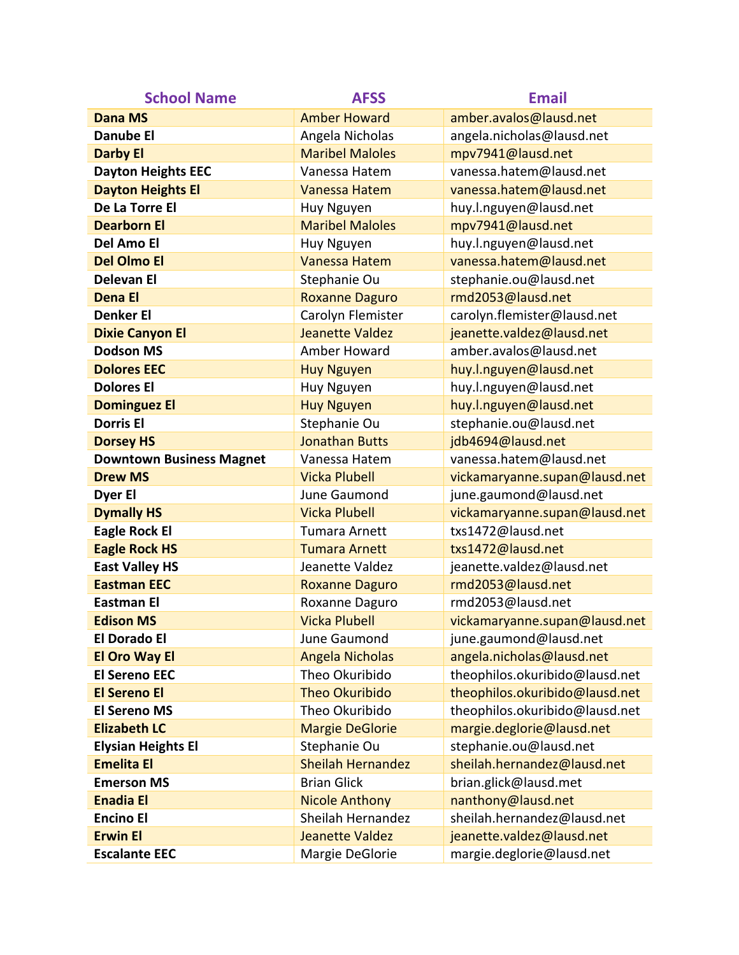| <b>School Name</b>              | <b>AFSS</b>              | <b>Email</b>                   |
|---------------------------------|--------------------------|--------------------------------|
| <b>Dana MS</b>                  | <b>Amber Howard</b>      | amber.avalos@lausd.net         |
| <b>Danube El</b>                | Angela Nicholas          | angela.nicholas@lausd.net      |
| <b>Darby El</b>                 | <b>Maribel Maloles</b>   | mpv7941@lausd.net              |
| <b>Dayton Heights EEC</b>       | Vanessa Hatem            | vanessa.hatem@lausd.net        |
| <b>Dayton Heights El</b>        | <b>Vanessa Hatem</b>     | vanessa.hatem@lausd.net        |
| De La Torre El                  | Huy Nguyen               | huy.l.nguyen@lausd.net         |
| <b>Dearborn El</b>              | <b>Maribel Maloles</b>   | mpv7941@lausd.net              |
| Del Amo El                      | Huy Nguyen               | huy.l.nguyen@lausd.net         |
| <b>Del Olmo El</b>              | <b>Vanessa Hatem</b>     | vanessa.hatem@lausd.net        |
| <b>Delevan El</b>               | Stephanie Ou             | stephanie.ou@lausd.net         |
| <b>Dena El</b>                  | <b>Roxanne Daguro</b>    | rmd2053@lausd.net              |
| <b>Denker El</b>                | Carolyn Flemister        | carolyn.flemister@lausd.net    |
| <b>Dixie Canyon El</b>          | <b>Jeanette Valdez</b>   | jeanette.valdez@lausd.net      |
| <b>Dodson MS</b>                | Amber Howard             | amber.avalos@lausd.net         |
| <b>Dolores EEC</b>              | <b>Huy Nguyen</b>        | huy.l.nguyen@lausd.net         |
| <b>Dolores El</b>               | Huy Nguyen               | huy.l.nguyen@lausd.net         |
| <b>Dominguez El</b>             | <b>Huy Nguyen</b>        | huy.l.nguyen@lausd.net         |
| <b>Dorris El</b>                | Stephanie Ou             | stephanie.ou@lausd.net         |
| <b>Dorsey HS</b>                | <b>Jonathan Butts</b>    | jdb4694@lausd.net              |
| <b>Downtown Business Magnet</b> | Vanessa Hatem            | vanessa.hatem@lausd.net        |
| <b>Drew MS</b>                  | <b>Vicka Plubell</b>     | vickamaryanne.supan@lausd.net  |
| Dyer El                         | June Gaumond             | june.gaumond@lausd.net         |
| <b>Dymally HS</b>               | <b>Vicka Plubell</b>     | vickamaryanne.supan@lausd.net  |
| <b>Eagle Rock El</b>            | <b>Tumara Arnett</b>     | txs1472@lausd.net              |
| <b>Eagle Rock HS</b>            | <b>Tumara Arnett</b>     | txs1472@lausd.net              |
| <b>East Valley HS</b>           | Jeanette Valdez          | jeanette.valdez@lausd.net      |
| <b>Eastman EEC</b>              | <b>Roxanne Daguro</b>    | rmd2053@lausd.net              |
| <b>Eastman El</b>               | Roxanne Daguro           | rmd2053@lausd.net              |
| <b>Edison MS</b>                | <b>Vicka Plubell</b>     | vickamaryanne.supan@lausd.net  |
| <b>El Dorado El</b>             | June Gaumond             | june.gaumond@lausd.net         |
| <b>El Oro Way El</b>            | <b>Angela Nicholas</b>   | angela.nicholas@lausd.net      |
| <b>El Sereno EEC</b>            | Theo Okuribido           | theophilos.okuribido@lausd.net |
| <b>El Sereno El</b>             | <b>Theo Okuribido</b>    | theophilos.okuribido@lausd.net |
| <b>El Sereno MS</b>             | Theo Okuribido           | theophilos.okuribido@lausd.net |
| <b>Elizabeth LC</b>             | <b>Margie DeGlorie</b>   | margie.deglorie@lausd.net      |
| <b>Elysian Heights El</b>       | Stephanie Ou             | stephanie.ou@lausd.net         |
| <b>Emelita El</b>               | <b>Sheilah Hernandez</b> | sheilah.hernandez@lausd.net    |
| <b>Emerson MS</b>               | <b>Brian Glick</b>       | brian.glick@lausd.met          |
| <b>Enadia El</b>                | <b>Nicole Anthony</b>    | nanthony@lausd.net             |
| <b>Encino El</b>                | Sheilah Hernandez        | sheilah.hernandez@lausd.net    |
| <b>Erwin El</b>                 | <b>Jeanette Valdez</b>   | jeanette.valdez@lausd.net      |
| <b>Escalante EEC</b>            | Margie DeGlorie          | margie.deglorie@lausd.net      |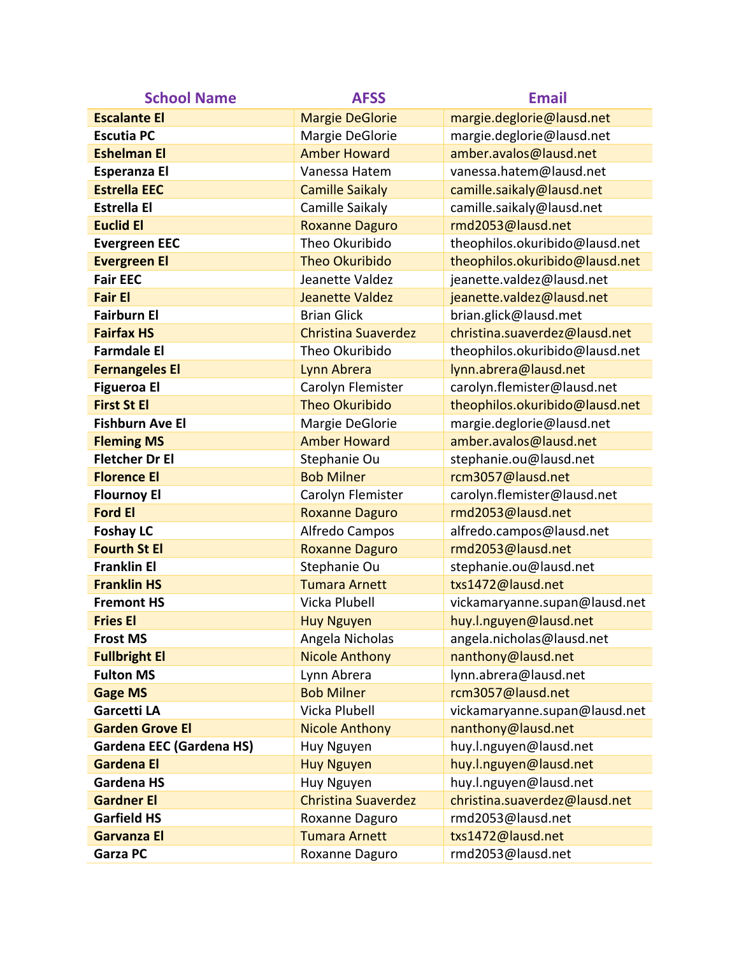| <b>School Name</b>              | <b>AFSS</b>                | <b>Email</b>                   |
|---------------------------------|----------------------------|--------------------------------|
| <b>Escalante El</b>             | <b>Margie DeGlorie</b>     | margie.deglorie@lausd.net      |
| <b>Escutia PC</b>               | Margie DeGlorie            | margie.deglorie@lausd.net      |
| <b>Eshelman El</b>              | <b>Amber Howard</b>        | amber.avalos@lausd.net         |
| Esperanza El                    | Vanessa Hatem              | vanessa.hatem@lausd.net        |
| <b>Estrella EEC</b>             | <b>Camille Saikaly</b>     | camille.saikaly@lausd.net      |
| <b>Estrella El</b>              | Camille Saikaly            | camille.saikaly@lausd.net      |
| <b>Euclid El</b>                | <b>Roxanne Daguro</b>      | rmd2053@lausd.net              |
| <b>Evergreen EEC</b>            | Theo Okuribido             | theophilos.okuribido@lausd.net |
| <b>Evergreen El</b>             | <b>Theo Okuribido</b>      | theophilos.okuribido@lausd.net |
| <b>Fair EEC</b>                 | Jeanette Valdez            | jeanette.valdez@lausd.net      |
| <b>Fair El</b>                  | <b>Jeanette Valdez</b>     | jeanette.valdez@lausd.net      |
| <b>Fairburn El</b>              | <b>Brian Glick</b>         | brian.glick@lausd.met          |
| <b>Fairfax HS</b>               | <b>Christina Suaverdez</b> | christina.suaverdez@lausd.net  |
| <b>Farmdale El</b>              | Theo Okuribido             | theophilos.okuribido@lausd.net |
| <b>Fernangeles El</b>           | Lynn Abrera                | lynn.abrera@lausd.net          |
| <b>Figueroa El</b>              | Carolyn Flemister          | carolyn.flemister@lausd.net    |
| <b>First St El</b>              | <b>Theo Okuribido</b>      | theophilos.okuribido@lausd.net |
| <b>Fishburn Ave El</b>          | Margie DeGlorie            | margie.deglorie@lausd.net      |
| <b>Fleming MS</b>               | <b>Amber Howard</b>        | amber.avalos@lausd.net         |
| <b>Fletcher Dr El</b>           | Stephanie Ou               | stephanie.ou@lausd.net         |
| <b>Florence El</b>              | <b>Bob Milner</b>          | rcm3057@lausd.net              |
| <b>Flournoy El</b>              | Carolyn Flemister          | carolyn.flemister@lausd.net    |
| <b>Ford El</b>                  | <b>Roxanne Daguro</b>      | rmd2053@lausd.net              |
| <b>Foshay LC</b>                | Alfredo Campos             | alfredo.campos@lausd.net       |
| <b>Fourth St El</b>             | <b>Roxanne Daguro</b>      | rmd2053@lausd.net              |
| <b>Franklin El</b>              | Stephanie Ou               | stephanie.ou@lausd.net         |
| <b>Franklin HS</b>              | <b>Tumara Arnett</b>       | txs1472@lausd.net              |
| <b>Fremont HS</b>               | Vicka Plubell              | vickamaryanne.supan@lausd.net  |
| <b>Fries El</b>                 | <b>Huy Nguyen</b>          | huy.l.nguyen@lausd.net         |
| <b>Frost MS</b>                 | Angela Nicholas            | angela.nicholas@lausd.net      |
| <b>Fullbright El</b>            | <b>Nicole Anthony</b>      | nanthony@lausd.net             |
| <b>Fulton MS</b>                | Lynn Abrera                | lynn.abrera@lausd.net          |
| <b>Gage MS</b>                  | <b>Bob Milner</b>          | rcm3057@lausd.net              |
| <b>Garcetti LA</b>              | Vicka Plubell              | vickamaryanne.supan@lausd.net  |
| <b>Garden Grove El</b>          | <b>Nicole Anthony</b>      | nanthony@lausd.net             |
| <b>Gardena EEC (Gardena HS)</b> | Huy Nguyen                 | huy.l.nguyen@lausd.net         |
| <b>Gardena El</b>               | <b>Huy Nguyen</b>          | huy.l.nguyen@lausd.net         |
| <b>Gardena HS</b>               | Huy Nguyen                 | huy.l.nguyen@lausd.net         |
| <b>Gardner El</b>               | <b>Christina Suaverdez</b> | christina.suaverdez@lausd.net  |
| <b>Garfield HS</b>              | Roxanne Daguro             | rmd2053@lausd.net              |
| <b>Garvanza El</b>              | <b>Tumara Arnett</b>       | txs1472@lausd.net              |
| <b>Garza PC</b>                 | Roxanne Daguro             | rmd2053@lausd.net              |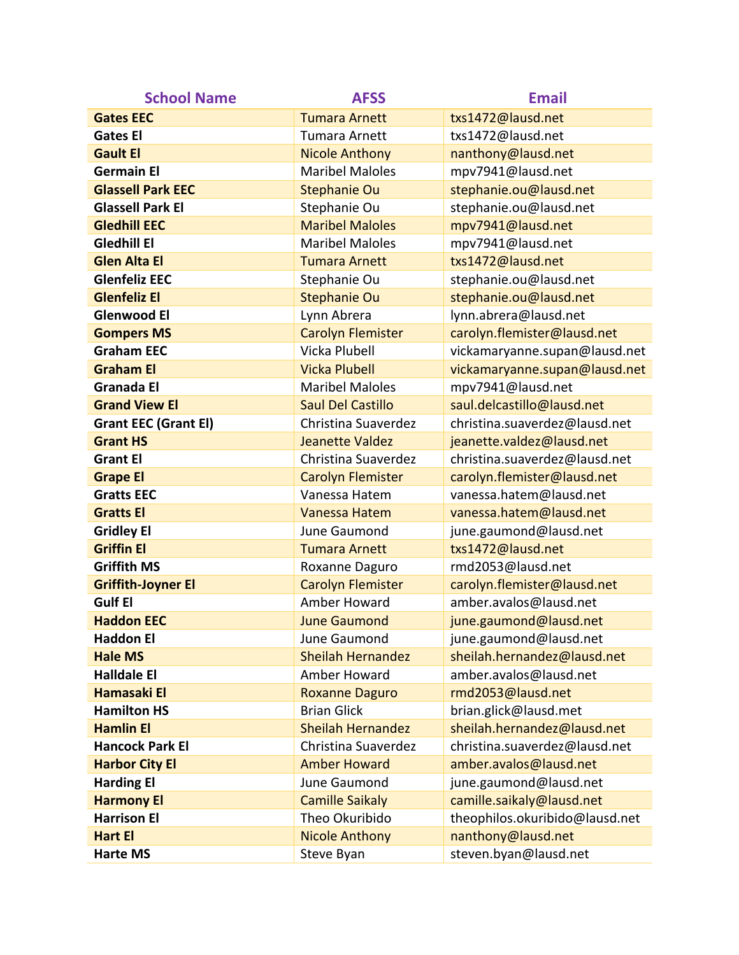| <b>School Name</b>          | <b>AFSS</b>              | <b>Email</b>                   |
|-----------------------------|--------------------------|--------------------------------|
| <b>Gates EEC</b>            | <b>Tumara Arnett</b>     | txs1472@lausd.net              |
| <b>Gates El</b>             | <b>Tumara Arnett</b>     | txs1472@lausd.net              |
| <b>Gault El</b>             | <b>Nicole Anthony</b>    | nanthony@lausd.net             |
| <b>Germain El</b>           | <b>Maribel Maloles</b>   | mpv7941@lausd.net              |
| <b>Glassell Park EEC</b>    | <b>Stephanie Ou</b>      | stephanie.ou@lausd.net         |
| <b>Glassell Park El</b>     | Stephanie Ou             | stephanie.ou@lausd.net         |
| <b>Gledhill EEC</b>         | <b>Maribel Maloles</b>   | mpv7941@lausd.net              |
| <b>Gledhill El</b>          | <b>Maribel Maloles</b>   | mpv7941@lausd.net              |
| <b>Glen Alta El</b>         | <b>Tumara Arnett</b>     | txs1472@lausd.net              |
| <b>Glenfeliz EEC</b>        | Stephanie Ou             | stephanie.ou@lausd.net         |
| <b>Glenfeliz El</b>         | <b>Stephanie Ou</b>      | stephanie.ou@lausd.net         |
| <b>Glenwood El</b>          | Lynn Abrera              | lynn.abrera@lausd.net          |
| <b>Gompers MS</b>           | <b>Carolyn Flemister</b> | carolyn.flemister@lausd.net    |
| <b>Graham EEC</b>           | Vicka Plubell            | vickamaryanne.supan@lausd.net  |
| <b>Graham El</b>            | <b>Vicka Plubell</b>     | vickamaryanne.supan@lausd.net  |
| <b>Granada El</b>           | <b>Maribel Maloles</b>   | mpv7941@lausd.net              |
| <b>Grand View El</b>        | <b>Saul Del Castillo</b> | saul.delcastillo@lausd.net     |
| <b>Grant EEC (Grant El)</b> | Christina Suaverdez      | christina.suaverdez@lausd.net  |
| <b>Grant HS</b>             | <b>Jeanette Valdez</b>   | jeanette.valdez@lausd.net      |
| <b>Grant El</b>             | Christina Suaverdez      | christina.suaverdez@lausd.net  |
| <b>Grape El</b>             | <b>Carolyn Flemister</b> | carolyn.flemister@lausd.net    |
| <b>Gratts EEC</b>           | Vanessa Hatem            | vanessa.hatem@lausd.net        |
| <b>Gratts El</b>            | Vanessa Hatem            | vanessa.hatem@lausd.net        |
| <b>Gridley El</b>           | June Gaumond             | june.gaumond@lausd.net         |
| <b>Griffin El</b>           | <b>Tumara Arnett</b>     | txs1472@lausd.net              |
| <b>Griffith MS</b>          | Roxanne Daguro           | rmd2053@lausd.net              |
| <b>Griffith-Joyner El</b>   | <b>Carolyn Flemister</b> | carolyn.flemister@lausd.net    |
| <b>Gulf El</b>              | Amber Howard             | amber.avalos@lausd.net         |
| <b>Haddon EEC</b>           | <b>June Gaumond</b>      | june.gaumond@lausd.net         |
| <b>Haddon El</b>            | June Gaumond             | june.gaumond@lausd.net         |
| <b>Hale MS</b>              | <b>Sheilah Hernandez</b> | sheilah.hernandez@lausd.net    |
| <b>Halldale El</b>          | Amber Howard             | amber.avalos@lausd.net         |
| <b>Hamasaki El</b>          | <b>Roxanne Daguro</b>    | rmd2053@lausd.net              |
| <b>Hamilton HS</b>          | <b>Brian Glick</b>       | brian.glick@lausd.met          |
| <b>Hamlin El</b>            | <b>Sheilah Hernandez</b> | sheilah.hernandez@lausd.net    |
| <b>Hancock Park El</b>      | Christina Suaverdez      | christina.suaverdez@lausd.net  |
| <b>Harbor City El</b>       | <b>Amber Howard</b>      | amber.avalos@lausd.net         |
| <b>Harding El</b>           | June Gaumond             | june.gaumond@lausd.net         |
| <b>Harmony El</b>           | <b>Camille Saikaly</b>   | camille.saikaly@lausd.net      |
| <b>Harrison El</b>          | Theo Okuribido           | theophilos.okuribido@lausd.net |
| <b>Hart El</b>              | <b>Nicole Anthony</b>    | nanthony@lausd.net             |
| <b>Harte MS</b>             | Steve Byan               | steven.byan@lausd.net          |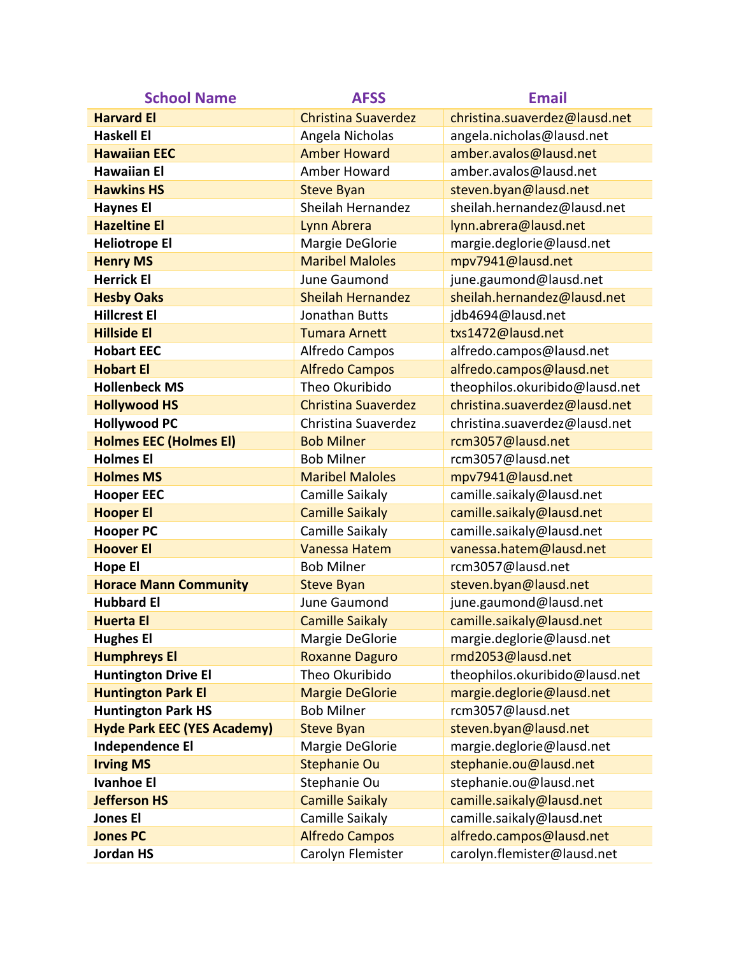| <b>School Name</b>                 | <b>AFSS</b>                | <b>Email</b>                   |
|------------------------------------|----------------------------|--------------------------------|
| <b>Harvard El</b>                  | <b>Christina Suaverdez</b> | christina.suaverdez@lausd.net  |
| <b>Haskell El</b>                  | Angela Nicholas            | angela.nicholas@lausd.net      |
| <b>Hawaiian EEC</b>                | <b>Amber Howard</b>        | amber.avalos@lausd.net         |
| <b>Hawaiian El</b>                 | Amber Howard               | amber.avalos@lausd.net         |
| <b>Hawkins HS</b>                  | <b>Steve Byan</b>          | steven.byan@lausd.net          |
| <b>Haynes El</b>                   | Sheilah Hernandez          | sheilah.hernandez@lausd.net    |
| <b>Hazeltine El</b>                | Lynn Abrera                | lynn.abrera@lausd.net          |
| <b>Heliotrope El</b>               | Margie DeGlorie            | margie.deglorie@lausd.net      |
| <b>Henry MS</b>                    | <b>Maribel Maloles</b>     | mpv7941@lausd.net              |
| <b>Herrick El</b>                  | June Gaumond               | june.gaumond@lausd.net         |
| <b>Hesby Oaks</b>                  | <b>Sheilah Hernandez</b>   | sheilah.hernandez@lausd.net    |
| <b>Hillcrest El</b>                | Jonathan Butts             | jdb4694@lausd.net              |
| <b>Hillside El</b>                 | <b>Tumara Arnett</b>       | txs1472@lausd.net              |
| <b>Hobart EEC</b>                  | Alfredo Campos             | alfredo.campos@lausd.net       |
| <b>Hobart El</b>                   | <b>Alfredo Campos</b>      | alfredo.campos@lausd.net       |
| <b>Hollenbeck MS</b>               | Theo Okuribido             | theophilos.okuribido@lausd.net |
| <b>Hollywood HS</b>                | <b>Christina Suaverdez</b> | christina.suaverdez@lausd.net  |
| <b>Hollywood PC</b>                | Christina Suaverdez        | christina.suaverdez@lausd.net  |
| <b>Holmes EEC (Holmes EI)</b>      | <b>Bob Milner</b>          | rcm3057@lausd.net              |
| <b>Holmes El</b>                   | <b>Bob Milner</b>          | rcm3057@lausd.net              |
| <b>Holmes MS</b>                   | <b>Maribel Maloles</b>     | mpv7941@lausd.net              |
| <b>Hooper EEC</b>                  | Camille Saikaly            | camille.saikaly@lausd.net      |
| <b>Hooper El</b>                   | <b>Camille Saikaly</b>     | camille.saikaly@lausd.net      |
| <b>Hooper PC</b>                   | Camille Saikaly            | camille.saikaly@lausd.net      |
| <b>Hoover El</b>                   | Vanessa Hatem              | vanessa.hatem@lausd.net        |
| <b>Hope El</b>                     | <b>Bob Milner</b>          | rcm3057@lausd.net              |
| <b>Horace Mann Community</b>       | <b>Steve Byan</b>          | steven.byan@lausd.net          |
| <b>Hubbard El</b>                  | June Gaumond               | june.gaumond@lausd.net         |
| <b>Huerta El</b>                   | <b>Camille Saikaly</b>     | camille.saikaly@lausd.net      |
| <b>Hughes El</b>                   | Margie DeGlorie            | margie.deglorie@lausd.net      |
| <b>Humphreys El</b>                | <b>Roxanne Daguro</b>      | rmd2053@lausd.net              |
| <b>Huntington Drive El</b>         | Theo Okuribido             | theophilos.okuribido@lausd.net |
| <b>Huntington Park El</b>          | <b>Margie DeGlorie</b>     | margie.deglorie@lausd.net      |
| <b>Huntington Park HS</b>          | <b>Bob Milner</b>          | rcm3057@lausd.net              |
| <b>Hyde Park EEC (YES Academy)</b> | <b>Steve Byan</b>          | steven.byan@lausd.net          |
| <b>Independence El</b>             | Margie DeGlorie            | margie.deglorie@lausd.net      |
| <b>Irving MS</b>                   | <b>Stephanie Ou</b>        | stephanie.ou@lausd.net         |
| <b>Ivanhoe El</b>                  | Stephanie Ou               | stephanie.ou@lausd.net         |
| <b>Jefferson HS</b>                | <b>Camille Saikaly</b>     | camille.saikaly@lausd.net      |
| <b>Jones El</b>                    | Camille Saikaly            | camille.saikaly@lausd.net      |
| <b>Jones PC</b>                    | <b>Alfredo Campos</b>      | alfredo.campos@lausd.net       |
| <b>Jordan HS</b>                   | Carolyn Flemister          | carolyn.flemister@lausd.net    |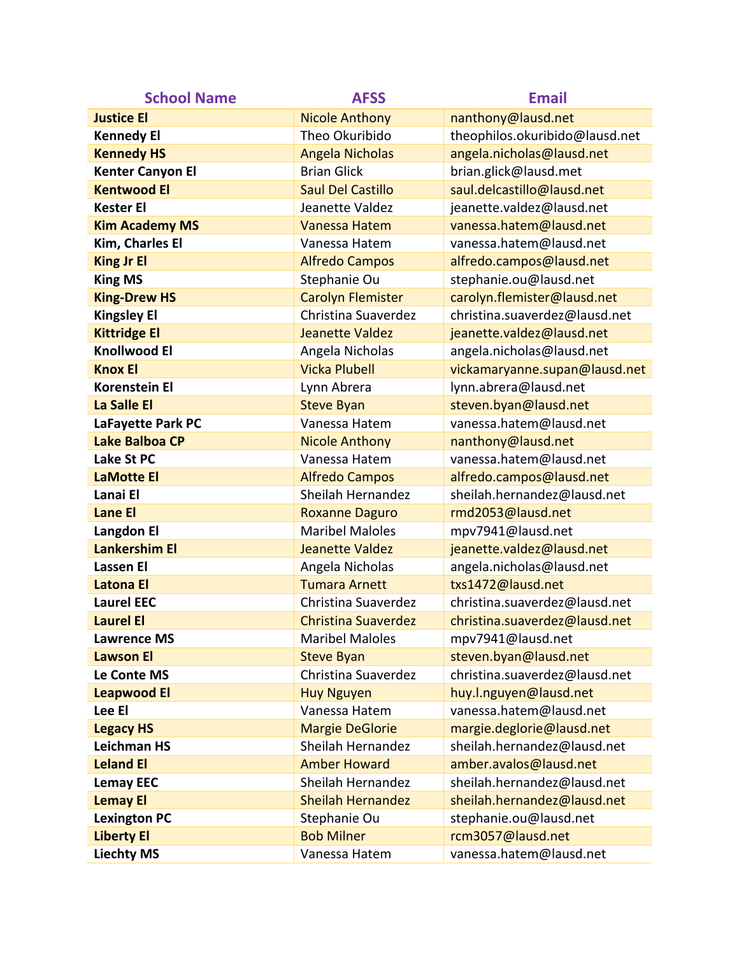| <b>School Name</b>      | <b>AFSS</b>                | <b>Email</b>                   |
|-------------------------|----------------------------|--------------------------------|
| <b>Justice El</b>       | <b>Nicole Anthony</b>      | nanthony@lausd.net             |
| <b>Kennedy El</b>       | Theo Okuribido             | theophilos.okuribido@lausd.net |
| <b>Kennedy HS</b>       | <b>Angela Nicholas</b>     | angela.nicholas@lausd.net      |
| <b>Kenter Canyon El</b> | <b>Brian Glick</b>         | brian.glick@lausd.met          |
| <b>Kentwood El</b>      | <b>Saul Del Castillo</b>   | saul.delcastillo@lausd.net     |
| <b>Kester El</b>        | Jeanette Valdez            | jeanette.valdez@lausd.net      |
| <b>Kim Academy MS</b>   | <b>Vanessa Hatem</b>       | vanessa.hatem@lausd.net        |
| Kim, Charles El         | Vanessa Hatem              | vanessa.hatem@lausd.net        |
| <b>King Jr El</b>       | <b>Alfredo Campos</b>      | alfredo.campos@lausd.net       |
| <b>King MS</b>          | Stephanie Ou               | stephanie.ou@lausd.net         |
| <b>King-Drew HS</b>     | <b>Carolyn Flemister</b>   | carolyn.flemister@lausd.net    |
| <b>Kingsley El</b>      | Christina Suaverdez        | christina.suaverdez@lausd.net  |
| <b>Kittridge El</b>     | Jeanette Valdez            | jeanette.valdez@lausd.net      |
| <b>Knollwood El</b>     | Angela Nicholas            | angela.nicholas@lausd.net      |
| <b>Knox El</b>          | <b>Vicka Plubell</b>       | vickamaryanne.supan@lausd.net  |
| <b>Korenstein El</b>    | Lynn Abrera                | lynn.abrera@lausd.net          |
| La Salle El             | <b>Steve Byan</b>          | steven.byan@lausd.net          |
| LaFayette Park PC       | Vanessa Hatem              | vanessa.hatem@lausd.net        |
| <b>Lake Balboa CP</b>   | <b>Nicole Anthony</b>      | nanthony@lausd.net             |
| Lake St PC              | Vanessa Hatem              | vanessa.hatem@lausd.net        |
| <b>LaMotte El</b>       | <b>Alfredo Campos</b>      | alfredo.campos@lausd.net       |
| Lanai El                | Sheilah Hernandez          | sheilah.hernandez@lausd.net    |
| <b>Lane El</b>          | <b>Roxanne Daguro</b>      | rmd2053@lausd.net              |
| <b>Langdon El</b>       | <b>Maribel Maloles</b>     | mpv7941@lausd.net              |
| <b>Lankershim El</b>    | Jeanette Valdez            | jeanette.valdez@lausd.net      |
| <b>Lassen El</b>        | Angela Nicholas            | angela.nicholas@lausd.net      |
| <b>Latona El</b>        | <b>Tumara Arnett</b>       | txs1472@lausd.net              |
| <b>Laurel EEC</b>       | Christina Suaverdez        | christina.suaverdez@lausd.net  |
| <b>Laurel El</b>        | <b>Christina Suaverdez</b> | christina.suaverdez@lausd.net  |
| <b>Lawrence MS</b>      | <b>Maribel Maloles</b>     | mpv7941@lausd.net              |
| <b>Lawson El</b>        | <b>Steve Byan</b>          | steven.byan@lausd.net          |
| Le Conte MS             | Christina Suaverdez        | christina.suaverdez@lausd.net  |
| <b>Leapwood El</b>      | <b>Huy Nguyen</b>          | huy.l.nguyen@lausd.net         |
| Lee El                  | Vanessa Hatem              | vanessa.hatem@lausd.net        |
| <b>Legacy HS</b>        | <b>Margie DeGlorie</b>     | margie.deglorie@lausd.net      |
| <b>Leichman HS</b>      | Sheilah Hernandez          | sheilah.hernandez@lausd.net    |
| <b>Leland El</b>        | <b>Amber Howard</b>        | amber.avalos@lausd.net         |
| <b>Lemay EEC</b>        | Sheilah Hernandez          | sheilah.hernandez@lausd.net    |
| <b>Lemay El</b>         | <b>Sheilah Hernandez</b>   | sheilah.hernandez@lausd.net    |
| <b>Lexington PC</b>     | Stephanie Ou               | stephanie.ou@lausd.net         |
| <b>Liberty El</b>       | <b>Bob Milner</b>          | rcm3057@lausd.net              |
| <b>Liechty MS</b>       | Vanessa Hatem              | vanessa.hatem@lausd.net        |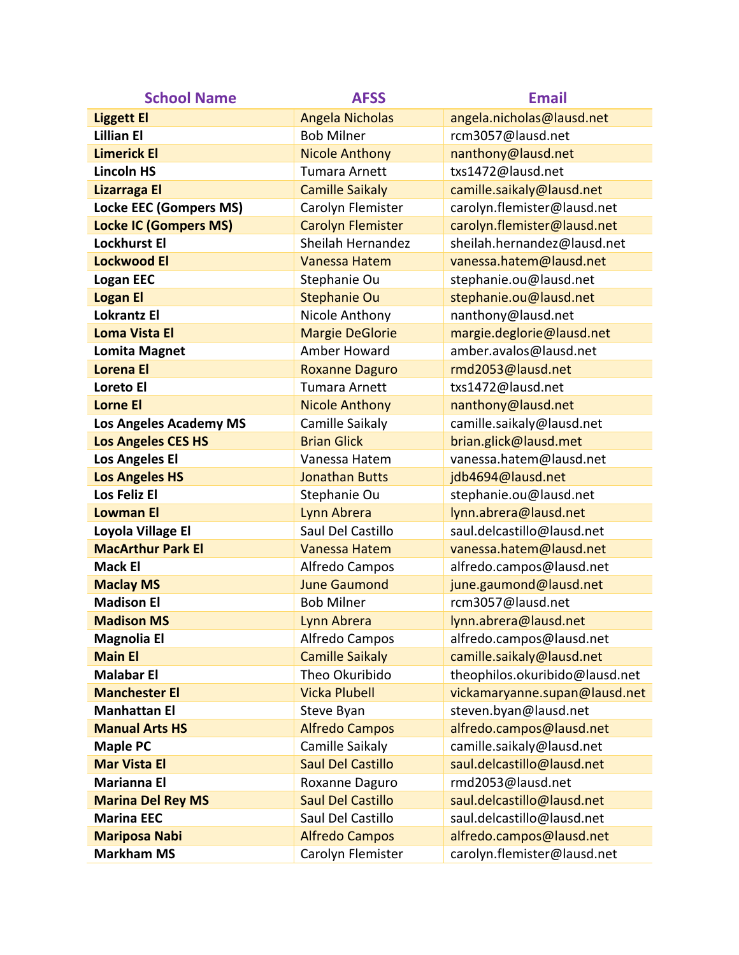| <b>School Name</b>            | <b>AFSS</b>              | <b>Email</b>                   |
|-------------------------------|--------------------------|--------------------------------|
| <b>Liggett El</b>             | <b>Angela Nicholas</b>   | angela.nicholas@lausd.net      |
| <b>Lillian El</b>             | <b>Bob Milner</b>        | rcm3057@lausd.net              |
| <b>Limerick El</b>            | <b>Nicole Anthony</b>    | nanthony@lausd.net             |
| <b>Lincoln HS</b>             | <b>Tumara Arnett</b>     | txs1472@lausd.net              |
| <b>Lizarraga El</b>           | <b>Camille Saikaly</b>   | camille.saikaly@lausd.net      |
| <b>Locke EEC (Gompers MS)</b> | Carolyn Flemister        | carolyn.flemister@lausd.net    |
| <b>Locke IC (Gompers MS)</b>  | <b>Carolyn Flemister</b> | carolyn.flemister@lausd.net    |
| <b>Lockhurst El</b>           | Sheilah Hernandez        | sheilah.hernandez@lausd.net    |
| <b>Lockwood El</b>            | Vanessa Hatem            | vanessa.hatem@lausd.net        |
| <b>Logan EEC</b>              | Stephanie Ou             | stephanie.ou@lausd.net         |
| <b>Logan El</b>               | <b>Stephanie Ou</b>      | stephanie.ou@lausd.net         |
| <b>Lokrantz El</b>            | Nicole Anthony           | nanthony@lausd.net             |
| <b>Loma Vista El</b>          | <b>Margie DeGlorie</b>   | margie.deglorie@lausd.net      |
| <b>Lomita Magnet</b>          | Amber Howard             | amber.avalos@lausd.net         |
| <b>Lorena El</b>              | <b>Roxanne Daguro</b>    | rmd2053@lausd.net              |
| Loreto El                     | <b>Tumara Arnett</b>     | txs1472@lausd.net              |
| <b>Lorne El</b>               | <b>Nicole Anthony</b>    | nanthony@lausd.net             |
| <b>Los Angeles Academy MS</b> | Camille Saikaly          | camille.saikaly@lausd.net      |
| <b>Los Angeles CES HS</b>     | <b>Brian Glick</b>       | brian.glick@lausd.met          |
| <b>Los Angeles El</b>         | Vanessa Hatem            | vanessa.hatem@lausd.net        |
| <b>Los Angeles HS</b>         | <b>Jonathan Butts</b>    | jdb4694@lausd.net              |
| Los Feliz El                  | Stephanie Ou             | stephanie.ou@lausd.net         |
| <b>Lowman El</b>              | Lynn Abrera              | lynn.abrera@lausd.net          |
| Loyola Village El             | Saul Del Castillo        | saul.delcastillo@lausd.net     |
| <b>MacArthur Park El</b>      | Vanessa Hatem            | vanessa.hatem@lausd.net        |
| <b>Mack El</b>                | Alfredo Campos           | alfredo.campos@lausd.net       |
| <b>Maclay MS</b>              | <b>June Gaumond</b>      | june.gaumond@lausd.net         |
| <b>Madison El</b>             | <b>Bob Milner</b>        | rcm3057@lausd.net              |
| <b>Madison MS</b>             | Lynn Abrera              | lynn.abrera@lausd.net          |
| <b>Magnolia El</b>            | Alfredo Campos           | alfredo.campos@lausd.net       |
| <b>Main El</b>                | <b>Camille Saikaly</b>   | camille.saikaly@lausd.net      |
| <b>Malabar El</b>             | Theo Okuribido           | theophilos.okuribido@lausd.net |
| <b>Manchester El</b>          | <b>Vicka Plubell</b>     | vickamaryanne.supan@lausd.net  |
| <b>Manhattan El</b>           | Steve Byan               | steven.byan@lausd.net          |
| <b>Manual Arts HS</b>         | <b>Alfredo Campos</b>    | alfredo.campos@lausd.net       |
| <b>Maple PC</b>               | Camille Saikaly          | camille.saikaly@lausd.net      |
| <b>Mar Vista El</b>           | <b>Saul Del Castillo</b> | saul.delcastillo@lausd.net     |
| <b>Marianna El</b>            | Roxanne Daguro           | rmd2053@lausd.net              |
| <b>Marina Del Rey MS</b>      | <b>Saul Del Castillo</b> | saul.delcastillo@lausd.net     |
| <b>Marina EEC</b>             | Saul Del Castillo        | saul.delcastillo@lausd.net     |
| <b>Mariposa Nabi</b>          | <b>Alfredo Campos</b>    | alfredo.campos@lausd.net       |
| <b>Markham MS</b>             | Carolyn Flemister        | carolyn.flemister@lausd.net    |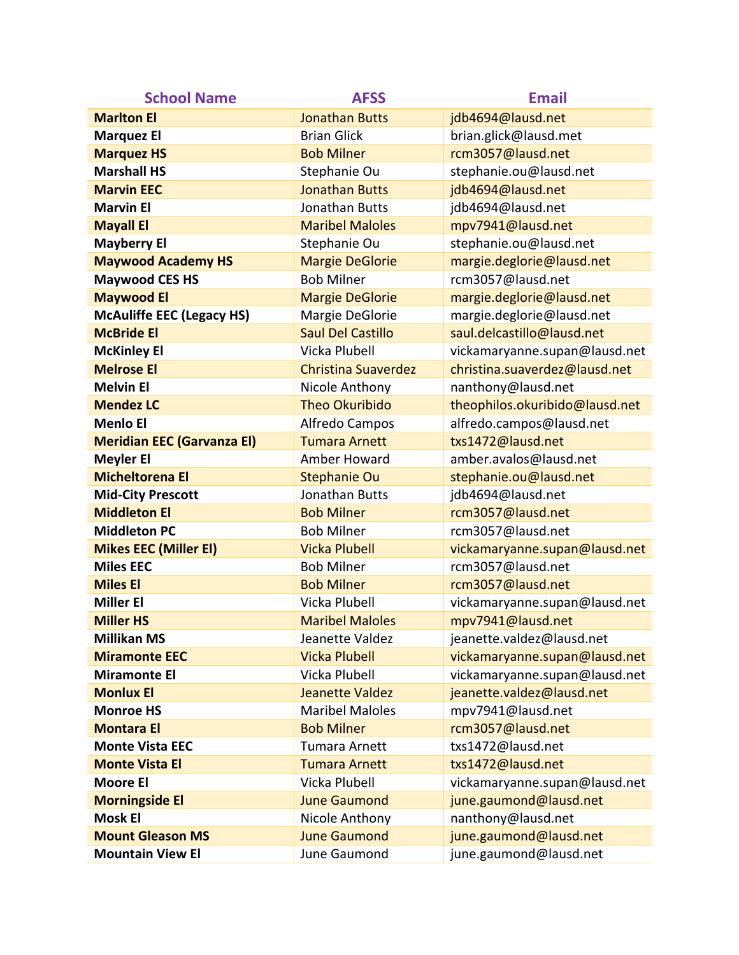| <b>School Name</b>                | <b>AFSS</b>                | <b>Email</b>                   |
|-----------------------------------|----------------------------|--------------------------------|
| <b>Marlton El</b>                 | <b>Jonathan Butts</b>      | jdb4694@lausd.net              |
| <b>Marquez El</b>                 | <b>Brian Glick</b>         | brian.glick@lausd.met          |
| <b>Marquez HS</b>                 | <b>Bob Milner</b>          | rcm3057@lausd.net              |
| <b>Marshall HS</b>                | Stephanie Ou               | stephanie.ou@lausd.net         |
| <b>Marvin EEC</b>                 | <b>Jonathan Butts</b>      | jdb4694@lausd.net              |
| <b>Marvin El</b>                  | Jonathan Butts             | jdb4694@lausd.net              |
| <b>Mayall El</b>                  | <b>Maribel Maloles</b>     | mpv7941@lausd.net              |
| <b>Mayberry El</b>                | Stephanie Ou               | stephanie.ou@lausd.net         |
| <b>Maywood Academy HS</b>         | <b>Margie DeGlorie</b>     | margie.deglorie@lausd.net      |
| <b>Maywood CES HS</b>             | <b>Bob Milner</b>          | rcm3057@lausd.net              |
| <b>Maywood El</b>                 | <b>Margie DeGlorie</b>     | margie.deglorie@lausd.net      |
| <b>McAuliffe EEC (Legacy HS)</b>  | Margie DeGlorie            | margie.deglorie@lausd.net      |
| <b>McBride El</b>                 | <b>Saul Del Castillo</b>   | saul.delcastillo@lausd.net     |
| <b>McKinley El</b>                | Vicka Plubell              | vickamaryanne.supan@lausd.net  |
| <b>Melrose El</b>                 | <b>Christina Suaverdez</b> | christina.suaverdez@lausd.net  |
| <b>Melvin El</b>                  | Nicole Anthony             | nanthony@lausd.net             |
| <b>Mendez LC</b>                  | <b>Theo Okuribido</b>      | theophilos.okuribido@lausd.net |
| <b>Menlo El</b>                   | Alfredo Campos             | alfredo.campos@lausd.net       |
| <b>Meridian EEC (Garvanza EI)</b> | <b>Tumara Arnett</b>       | txs1472@lausd.net              |
| <b>Meyler El</b>                  | Amber Howard               | amber.avalos@lausd.net         |
| <b>Micheltorena El</b>            | <b>Stephanie Ou</b>        | stephanie.ou@lausd.net         |
| <b>Mid-City Prescott</b>          | Jonathan Butts             | jdb4694@lausd.net              |
| <b>Middleton El</b>               | <b>Bob Milner</b>          | rcm3057@lausd.net              |
| <b>Middleton PC</b>               | <b>Bob Milner</b>          | rcm3057@lausd.net              |
| <b>Mikes EEC (Miller El)</b>      | <b>Vicka Plubell</b>       | vickamaryanne.supan@lausd.net  |
| <b>Miles EEC</b>                  | <b>Bob Milner</b>          | rcm3057@lausd.net              |
| <b>Miles El</b>                   | <b>Bob Milner</b>          | rcm3057@lausd.net              |
| <b>Miller El</b>                  | Vicka Plubell              | vickamaryanne.supan@lausd.net  |
| <b>Miller HS</b>                  | <b>Maribel Maloles</b>     | mpv7941@lausd.net              |
| <b>Millikan MS</b>                | Jeanette Valdez            | jeanette.valdez@lausd.net      |
| <b>Miramonte EEC</b>              | <b>Vicka Plubell</b>       | vickamaryanne.supan@lausd.net  |
| <b>Miramonte El</b>               | Vicka Plubell              | vickamaryanne.supan@lausd.net  |
| <b>Monlux El</b>                  | Jeanette Valdez            | jeanette.valdez@lausd.net      |
| <b>Monroe HS</b>                  | <b>Maribel Maloles</b>     | mpv7941@lausd.net              |
| <b>Montara El</b>                 | <b>Bob Milner</b>          | rcm3057@lausd.net              |
| <b>Monte Vista EEC</b>            | <b>Tumara Arnett</b>       | txs1472@lausd.net              |
| <b>Monte Vista El</b>             | <b>Tumara Arnett</b>       | txs1472@lausd.net              |
| <b>Moore El</b>                   | Vicka Plubell              | vickamaryanne.supan@lausd.net  |
| <b>Morningside El</b>             | <b>June Gaumond</b>        | june.gaumond@lausd.net         |
| <b>Mosk El</b>                    | Nicole Anthony             | nanthony@lausd.net             |
| <b>Mount Gleason MS</b>           | <b>June Gaumond</b>        | june.gaumond@lausd.net         |
| <b>Mountain View El</b>           | June Gaumond               | june.gaumond@lausd.net         |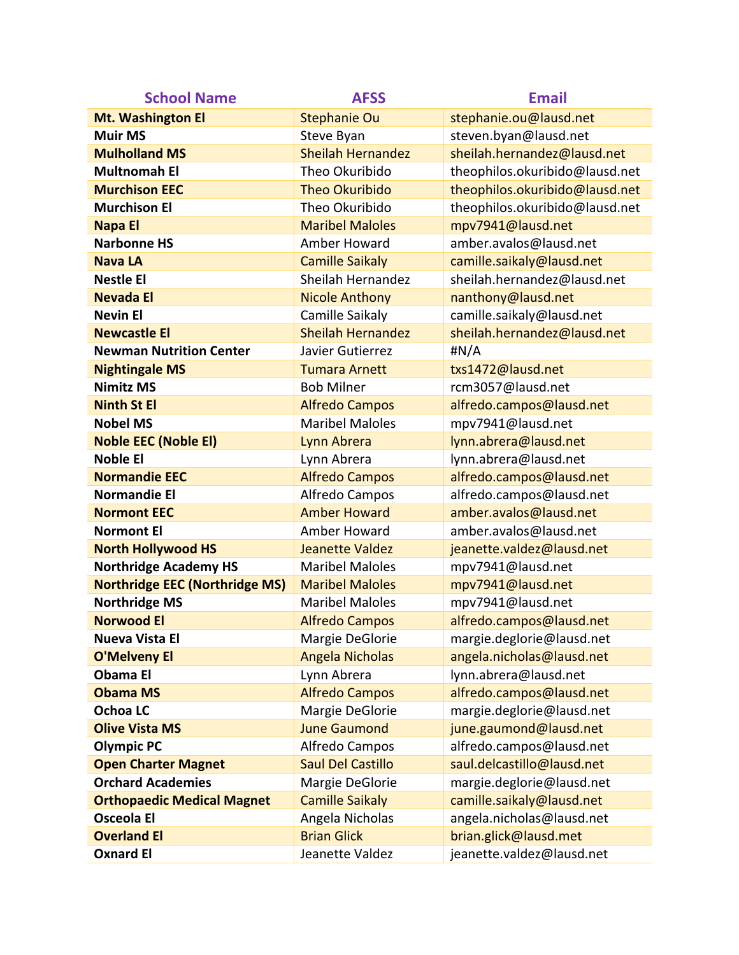| <b>School Name</b>                    | <b>AFSS</b>              | <b>Email</b>                   |
|---------------------------------------|--------------------------|--------------------------------|
| Mt. Washington El                     | <b>Stephanie Ou</b>      | stephanie.ou@lausd.net         |
| <b>Muir MS</b>                        | Steve Byan               | steven.byan@lausd.net          |
| <b>Mulholland MS</b>                  | <b>Sheilah Hernandez</b> | sheilah.hernandez@lausd.net    |
| <b>Multnomah El</b>                   | Theo Okuribido           | theophilos.okuribido@lausd.net |
| <b>Murchison EEC</b>                  | <b>Theo Okuribido</b>    | theophilos.okuribido@lausd.net |
| <b>Murchison El</b>                   | Theo Okuribido           | theophilos.okuribido@lausd.net |
| <b>Napa El</b>                        | <b>Maribel Maloles</b>   | mpv7941@lausd.net              |
| <b>Narbonne HS</b>                    | Amber Howard             | amber.avalos@lausd.net         |
| <b>Nava LA</b>                        | <b>Camille Saikaly</b>   | camille.saikaly@lausd.net      |
| <b>Nestle El</b>                      | Sheilah Hernandez        | sheilah.hernandez@lausd.net    |
| <b>Nevada El</b>                      | <b>Nicole Anthony</b>    | nanthony@lausd.net             |
| <b>Nevin El</b>                       | Camille Saikaly          | camille.saikaly@lausd.net      |
| <b>Newcastle El</b>                   | <b>Sheilah Hernandez</b> | sheilah.hernandez@lausd.net    |
| <b>Newman Nutrition Center</b>        | Javier Gutierrez         | #N/A                           |
| <b>Nightingale MS</b>                 | <b>Tumara Arnett</b>     | txs1472@lausd.net              |
| <b>Nimitz MS</b>                      | <b>Bob Milner</b>        | rcm3057@lausd.net              |
| <b>Ninth St El</b>                    | <b>Alfredo Campos</b>    | alfredo.campos@lausd.net       |
| <b>Nobel MS</b>                       | <b>Maribel Maloles</b>   | mpv7941@lausd.net              |
| <b>Noble EEC (Noble EI)</b>           | Lynn Abrera              | lynn.abrera@lausd.net          |
| <b>Noble El</b>                       | Lynn Abrera              | lynn.abrera@lausd.net          |
| <b>Normandie EEC</b>                  | <b>Alfredo Campos</b>    | alfredo.campos@lausd.net       |
| <b>Normandie El</b>                   | Alfredo Campos           | alfredo.campos@lausd.net       |
| <b>Normont EEC</b>                    | <b>Amber Howard</b>      | amber.avalos@lausd.net         |
| <b>Normont El</b>                     | Amber Howard             | amber.avalos@lausd.net         |
| <b>North Hollywood HS</b>             | <b>Jeanette Valdez</b>   | jeanette.valdez@lausd.net      |
| <b>Northridge Academy HS</b>          | <b>Maribel Maloles</b>   | mpv7941@lausd.net              |
| <b>Northridge EEC (Northridge MS)</b> | <b>Maribel Maloles</b>   | mpv7941@lausd.net              |
| <b>Northridge MS</b>                  | <b>Maribel Maloles</b>   | mpv7941@lausd.net              |
| <b>Norwood El</b>                     | <b>Alfredo Campos</b>    | alfredo.campos@lausd.net       |
| <b>Nueva Vista El</b>                 | Margie DeGlorie          | margie.deglorie@lausd.net      |
| <b>O'Melveny El</b>                   | <b>Angela Nicholas</b>   | angela.nicholas@lausd.net      |
| <b>Obama El</b>                       | Lynn Abrera              | lynn.abrera@lausd.net          |
| <b>Obama MS</b>                       | <b>Alfredo Campos</b>    | alfredo.campos@lausd.net       |
| <b>Ochoa LC</b>                       | Margie DeGlorie          | margie.deglorie@lausd.net      |
| <b>Olive Vista MS</b>                 | <b>June Gaumond</b>      | june.gaumond@lausd.net         |
| <b>Olympic PC</b>                     | Alfredo Campos           | alfredo.campos@lausd.net       |
| <b>Open Charter Magnet</b>            | <b>Saul Del Castillo</b> | saul.delcastillo@lausd.net     |
| <b>Orchard Academies</b>              | Margie DeGlorie          | margie.deglorie@lausd.net      |
| <b>Orthopaedic Medical Magnet</b>     | <b>Camille Saikaly</b>   | camille.saikaly@lausd.net      |
| <b>Osceola El</b>                     | Angela Nicholas          | angela.nicholas@lausd.net      |
| <b>Overland El</b>                    | <b>Brian Glick</b>       | brian.glick@lausd.met          |
| <b>Oxnard El</b>                      | Jeanette Valdez          | jeanette.valdez@lausd.net      |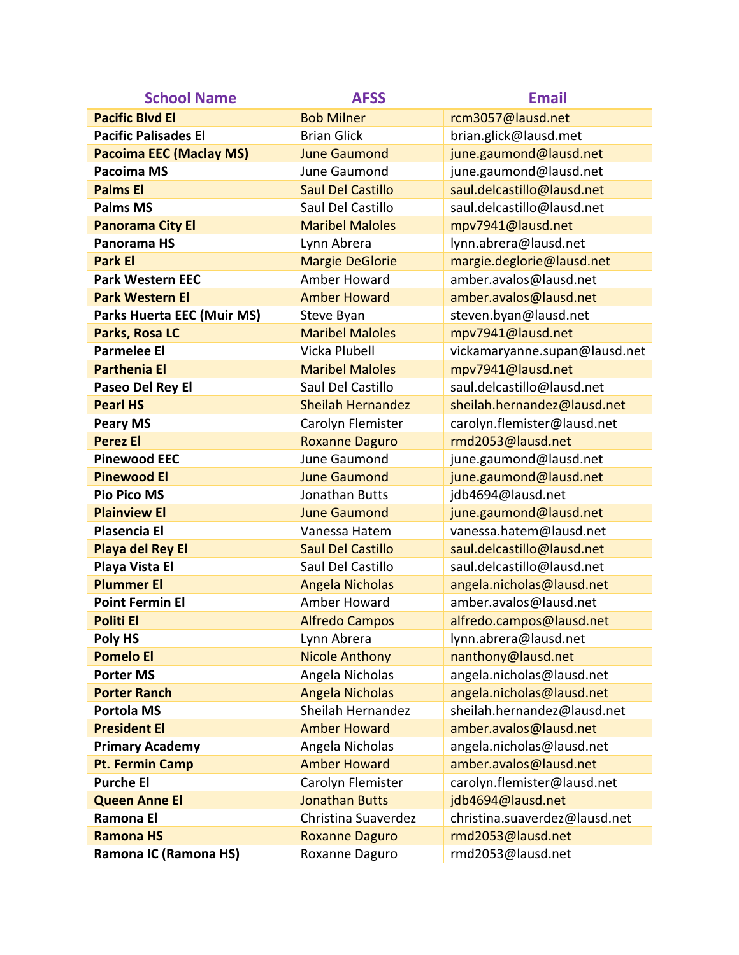| <b>School Name</b>                | <b>AFSS</b>              | <b>Email</b>                  |
|-----------------------------------|--------------------------|-------------------------------|
| <b>Pacific Blvd El</b>            | <b>Bob Milner</b>        | rcm3057@lausd.net             |
| <b>Pacific Palisades El</b>       | <b>Brian Glick</b>       | brian.glick@lausd.met         |
| <b>Pacoima EEC (Maclay MS)</b>    | <b>June Gaumond</b>      | june.gaumond@lausd.net        |
| Pacoima MS                        | June Gaumond             | june.gaumond@lausd.net        |
| <b>Palms El</b>                   | <b>Saul Del Castillo</b> | saul.delcastillo@lausd.net    |
| <b>Palms MS</b>                   | Saul Del Castillo        | saul.delcastillo@lausd.net    |
| <b>Panorama City El</b>           | <b>Maribel Maloles</b>   | mpv7941@lausd.net             |
| Panorama HS                       | Lynn Abrera              | lynn.abrera@lausd.net         |
| <b>Park El</b>                    | <b>Margie DeGlorie</b>   | margie.deglorie@lausd.net     |
| <b>Park Western EEC</b>           | Amber Howard             | amber.avalos@lausd.net        |
| <b>Park Western El</b>            | <b>Amber Howard</b>      | amber.avalos@lausd.net        |
| <b>Parks Huerta EEC (Muir MS)</b> | Steve Byan               | steven.byan@lausd.net         |
| Parks, Rosa LC                    | <b>Maribel Maloles</b>   | mpv7941@lausd.net             |
| <b>Parmelee El</b>                | Vicka Plubell            | vickamaryanne.supan@lausd.net |
| <b>Parthenia El</b>               | <b>Maribel Maloles</b>   | mpv7941@lausd.net             |
| Paseo Del Rey El                  | Saul Del Castillo        | saul.delcastillo@lausd.net    |
| <b>Pearl HS</b>                   | <b>Sheilah Hernandez</b> | sheilah.hernandez@lausd.net   |
| <b>Peary MS</b>                   | Carolyn Flemister        | carolyn.flemister@lausd.net   |
| <b>Perez El</b>                   | <b>Roxanne Daguro</b>    | rmd2053@lausd.net             |
| <b>Pinewood EEC</b>               | June Gaumond             | june.gaumond@lausd.net        |
| <b>Pinewood El</b>                | <b>June Gaumond</b>      | june.gaumond@lausd.net        |
| <b>Pio Pico MS</b>                | Jonathan Butts           | jdb4694@lausd.net             |
| <b>Plainview El</b>               | <b>June Gaumond</b>      | june.gaumond@lausd.net        |
| <b>Plasencia El</b>               | Vanessa Hatem            | vanessa.hatem@lausd.net       |
| <b>Playa del Rey El</b>           | <b>Saul Del Castillo</b> | saul.delcastillo@lausd.net    |
| Playa Vista El                    | Saul Del Castillo        | saul.delcastillo@lausd.net    |
| <b>Plummer El</b>                 | <b>Angela Nicholas</b>   | angela.nicholas@lausd.net     |
| <b>Point Fermin El</b>            | Amber Howard             | amber.avalos@lausd.net        |
| <b>Politi El</b>                  | <b>Alfredo Campos</b>    | alfredo.campos@lausd.net      |
| Poly HS                           | Lynn Abrera              | lynn.abrera@lausd.net         |
| <b>Pomelo El</b>                  | <b>Nicole Anthony</b>    | nanthony@lausd.net            |
| <b>Porter MS</b>                  | Angela Nicholas          | angela.nicholas@lausd.net     |
| <b>Porter Ranch</b>               | <b>Angela Nicholas</b>   | angela.nicholas@lausd.net     |
| <b>Portola MS</b>                 | Sheilah Hernandez        | sheilah.hernandez@lausd.net   |
| <b>President El</b>               | <b>Amber Howard</b>      | amber.avalos@lausd.net        |
| <b>Primary Academy</b>            | Angela Nicholas          | angela.nicholas@lausd.net     |
| <b>Pt. Fermin Camp</b>            | <b>Amber Howard</b>      | amber.avalos@lausd.net        |
| <b>Purche El</b>                  | Carolyn Flemister        | carolyn.flemister@lausd.net   |
| <b>Queen Anne El</b>              | <b>Jonathan Butts</b>    | jdb4694@lausd.net             |
| Ramona El                         | Christina Suaverdez      | christina.suaverdez@lausd.net |
| <b>Ramona HS</b>                  | <b>Roxanne Daguro</b>    | rmd2053@lausd.net             |
| Ramona IC (Ramona HS)             | Roxanne Daguro           | rmd2053@lausd.net             |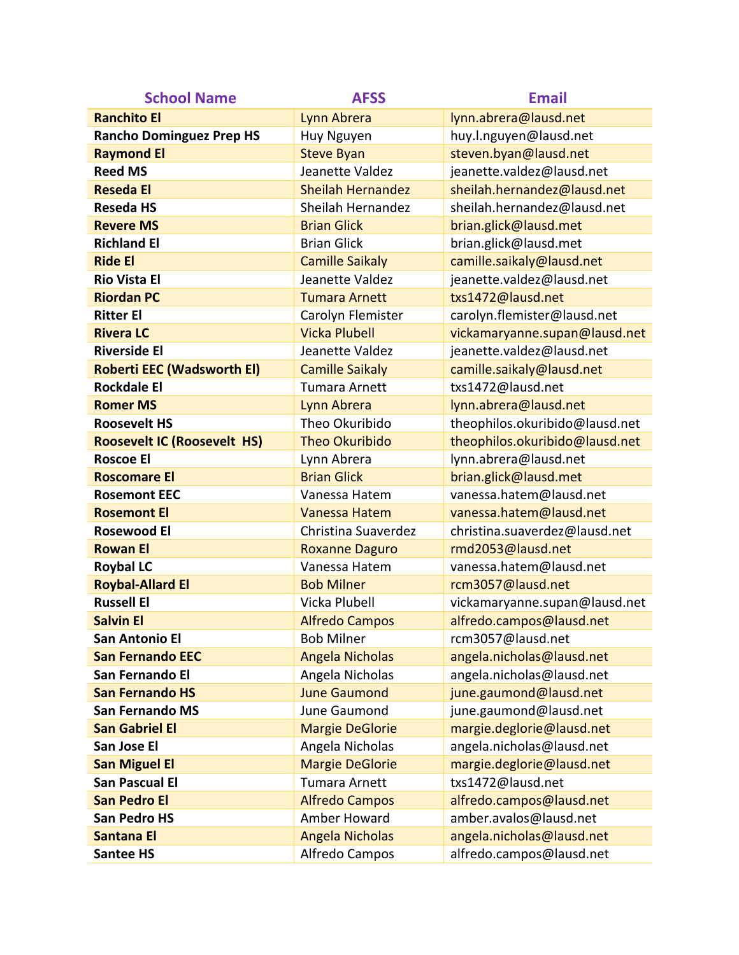| <b>School Name</b>                 | <b>AFSS</b>              | <b>Email</b>                   |
|------------------------------------|--------------------------|--------------------------------|
| <b>Ranchito El</b>                 | Lynn Abrera              | lynn.abrera@lausd.net          |
| <b>Rancho Dominguez Prep HS</b>    | Huy Nguyen               | huy.l.nguyen@lausd.net         |
| <b>Raymond El</b>                  | <b>Steve Byan</b>        | steven.byan@lausd.net          |
| <b>Reed MS</b>                     | Jeanette Valdez          | jeanette.valdez@lausd.net      |
| <b>Reseda El</b>                   | <b>Sheilah Hernandez</b> | sheilah.hernandez@lausd.net    |
| <b>Reseda HS</b>                   | Sheilah Hernandez        | sheilah.hernandez@lausd.net    |
| <b>Revere MS</b>                   | <b>Brian Glick</b>       | brian.glick@lausd.met          |
| <b>Richland El</b>                 | <b>Brian Glick</b>       | brian.glick@lausd.met          |
| <b>Ride El</b>                     | <b>Camille Saikaly</b>   | camille.saikaly@lausd.net      |
| <b>Rio Vista El</b>                | Jeanette Valdez          | jeanette.valdez@lausd.net      |
| <b>Riordan PC</b>                  | <b>Tumara Arnett</b>     | txs1472@lausd.net              |
| <b>Ritter El</b>                   | Carolyn Flemister        | carolyn.flemister@lausd.net    |
| <b>Rivera LC</b>                   | <b>Vicka Plubell</b>     | vickamaryanne.supan@lausd.net  |
| <b>Riverside El</b>                | Jeanette Valdez          | jeanette.valdez@lausd.net      |
| <b>Roberti EEC (Wadsworth EI)</b>  | <b>Camille Saikaly</b>   | camille.saikaly@lausd.net      |
| <b>Rockdale El</b>                 | <b>Tumara Arnett</b>     | txs1472@lausd.net              |
| <b>Romer MS</b>                    | Lynn Abrera              | lynn.abrera@lausd.net          |
| <b>Roosevelt HS</b>                | Theo Okuribido           | theophilos.okuribido@lausd.net |
| <b>Roosevelt IC (Roosevelt HS)</b> | <b>Theo Okuribido</b>    | theophilos.okuribido@lausd.net |
| <b>Roscoe El</b>                   | Lynn Abrera              | lynn.abrera@lausd.net          |
| <b>Roscomare El</b>                | <b>Brian Glick</b>       | brian.glick@lausd.met          |
| <b>Rosemont EEC</b>                | Vanessa Hatem            | vanessa.hatem@lausd.net        |
| <b>Rosemont El</b>                 | Vanessa Hatem            | vanessa.hatem@lausd.net        |
| <b>Rosewood El</b>                 | Christina Suaverdez      | christina.suaverdez@lausd.net  |
| <b>Rowan El</b>                    | <b>Roxanne Daguro</b>    | rmd2053@lausd.net              |
| <b>Roybal LC</b>                   | Vanessa Hatem            | vanessa.hatem@lausd.net        |
| <b>Roybal-Allard El</b>            | <b>Bob Milner</b>        | rcm3057@lausd.net              |
| <b>Russell El</b>                  | Vicka Plubell            | vickamaryanne.supan@lausd.net  |
| <b>Salvin El</b>                   | <b>Alfredo Campos</b>    | alfredo.campos@lausd.net       |
| <b>San Antonio El</b>              | <b>Bob Milner</b>        | rcm3057@lausd.net              |
| <b>San Fernando EEC</b>            | <b>Angela Nicholas</b>   | angela.nicholas@lausd.net      |
| San Fernando El                    | Angela Nicholas          | angela.nicholas@lausd.net      |
| <b>San Fernando HS</b>             | <b>June Gaumond</b>      | june.gaumond@lausd.net         |
| <b>San Fernando MS</b>             | June Gaumond             | june.gaumond@lausd.net         |
| <b>San Gabriel El</b>              | <b>Margie DeGlorie</b>   | margie.deglorie@lausd.net      |
| San Jose El                        | Angela Nicholas          | angela.nicholas@lausd.net      |
| <b>San Miguel El</b>               | <b>Margie DeGlorie</b>   | margie.deglorie@lausd.net      |
| <b>San Pascual El</b>              | <b>Tumara Arnett</b>     | txs1472@lausd.net              |
| <b>San Pedro El</b>                | <b>Alfredo Campos</b>    | alfredo.campos@lausd.net       |
| <b>San Pedro HS</b>                | Amber Howard             | amber.avalos@lausd.net         |
| <b>Santana El</b>                  | <b>Angela Nicholas</b>   | angela.nicholas@lausd.net      |
| <b>Santee HS</b>                   | Alfredo Campos           | alfredo.campos@lausd.net       |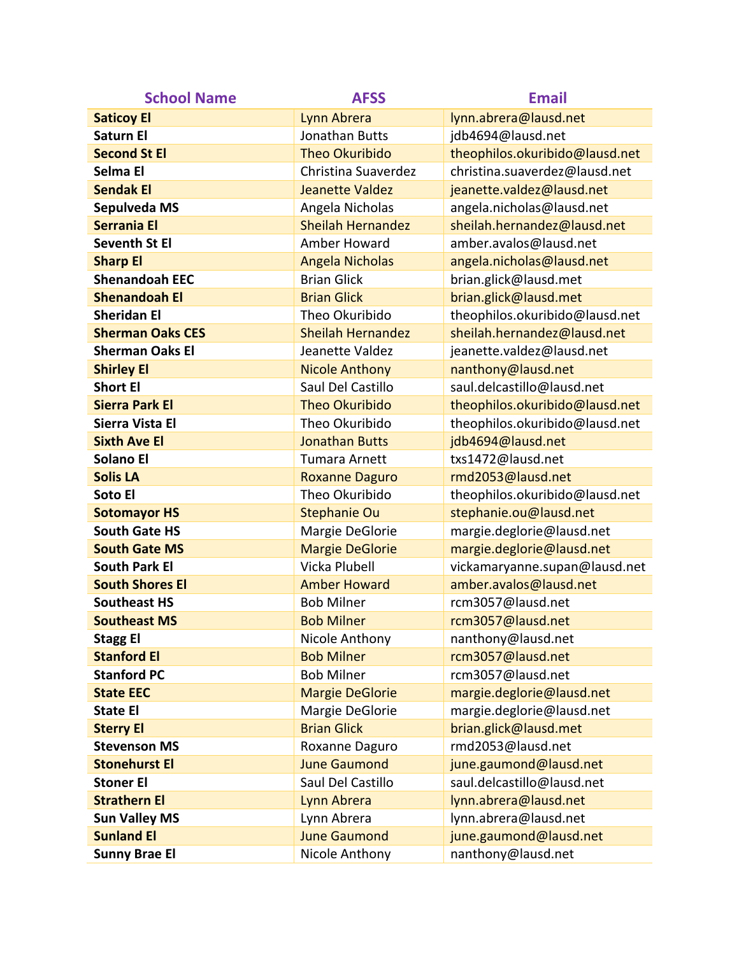| <b>School Name</b>      | <b>AFSS</b>              | <b>Email</b>                   |
|-------------------------|--------------------------|--------------------------------|
| <b>Saticoy El</b>       | Lynn Abrera              | lynn.abrera@lausd.net          |
| Saturn El               | <b>Jonathan Butts</b>    | jdb4694@lausd.net              |
| <b>Second St El</b>     | <b>Theo Okuribido</b>    | theophilos.okuribido@lausd.net |
| Selma El                | Christina Suaverdez      | christina.suaverdez@lausd.net  |
| <b>Sendak El</b>        | <b>Jeanette Valdez</b>   | jeanette.valdez@lausd.net      |
| Sepulveda MS            | Angela Nicholas          | angela.nicholas@lausd.net      |
| <b>Serrania El</b>      | <b>Sheilah Hernandez</b> | sheilah.hernandez@lausd.net    |
| <b>Seventh St El</b>    | Amber Howard             | amber.avalos@lausd.net         |
| <b>Sharp El</b>         | <b>Angela Nicholas</b>   | angela.nicholas@lausd.net      |
| <b>Shenandoah EEC</b>   | <b>Brian Glick</b>       | brian.glick@lausd.met          |
| <b>Shenandoah El</b>    | <b>Brian Glick</b>       | brian.glick@lausd.met          |
| <b>Sheridan El</b>      | Theo Okuribido           | theophilos.okuribido@lausd.net |
| <b>Sherman Oaks CES</b> | <b>Sheilah Hernandez</b> | sheilah.hernandez@lausd.net    |
| <b>Sherman Oaks El</b>  | Jeanette Valdez          | jeanette.valdez@lausd.net      |
| <b>Shirley El</b>       | <b>Nicole Anthony</b>    | nanthony@lausd.net             |
| <b>Short El</b>         | Saul Del Castillo        | saul.delcastillo@lausd.net     |
| <b>Sierra Park El</b>   | <b>Theo Okuribido</b>    | theophilos.okuribido@lausd.net |
| Sierra Vista El         | Theo Okuribido           | theophilos.okuribido@lausd.net |
| <b>Sixth Ave El</b>     | <b>Jonathan Butts</b>    | jdb4694@lausd.net              |
| <b>Solano El</b>        | <b>Tumara Arnett</b>     | txs1472@lausd.net              |
| <b>Solis LA</b>         | <b>Roxanne Daguro</b>    | rmd2053@lausd.net              |
| Soto El                 | Theo Okuribido           | theophilos.okuribido@lausd.net |
| <b>Sotomayor HS</b>     | <b>Stephanie Ou</b>      | stephanie.ou@lausd.net         |
| <b>South Gate HS</b>    | Margie DeGlorie          | margie.deglorie@lausd.net      |
| <b>South Gate MS</b>    | <b>Margie DeGlorie</b>   | margie.deglorie@lausd.net      |
| <b>South Park El</b>    | Vicka Plubell            | vickamaryanne.supan@lausd.net  |
| <b>South Shores El</b>  | <b>Amber Howard</b>      | amber.avalos@lausd.net         |
| <b>Southeast HS</b>     | <b>Bob Milner</b>        | rcm3057@lausd.net              |
| <b>Southeast MS</b>     | <b>Bob Milner</b>        | rcm3057@lausd.net              |
| <b>Stagg El</b>         | Nicole Anthony           | nanthony@lausd.net             |
| <b>Stanford El</b>      | <b>Bob Milner</b>        | rcm3057@lausd.net              |
| <b>Stanford PC</b>      | <b>Bob Milner</b>        | rcm3057@lausd.net              |
| <b>State EEC</b>        | <b>Margie DeGlorie</b>   | margie.deglorie@lausd.net      |
| <b>State El</b>         | Margie DeGlorie          | margie.deglorie@lausd.net      |
| <b>Sterry El</b>        | <b>Brian Glick</b>       | brian.glick@lausd.met          |
| <b>Stevenson MS</b>     | Roxanne Daguro           | rmd2053@lausd.net              |
| <b>Stonehurst El</b>    | <b>June Gaumond</b>      | june.gaumond@lausd.net         |
| <b>Stoner El</b>        | Saul Del Castillo        | saul.delcastillo@lausd.net     |
| <b>Strathern El</b>     | Lynn Abrera              | lynn.abrera@lausd.net          |
| <b>Sun Valley MS</b>    | Lynn Abrera              | lynn.abrera@lausd.net          |
| <b>Sunland El</b>       | <b>June Gaumond</b>      | june.gaumond@lausd.net         |
| <b>Sunny Brae El</b>    | Nicole Anthony           | nanthony@lausd.net             |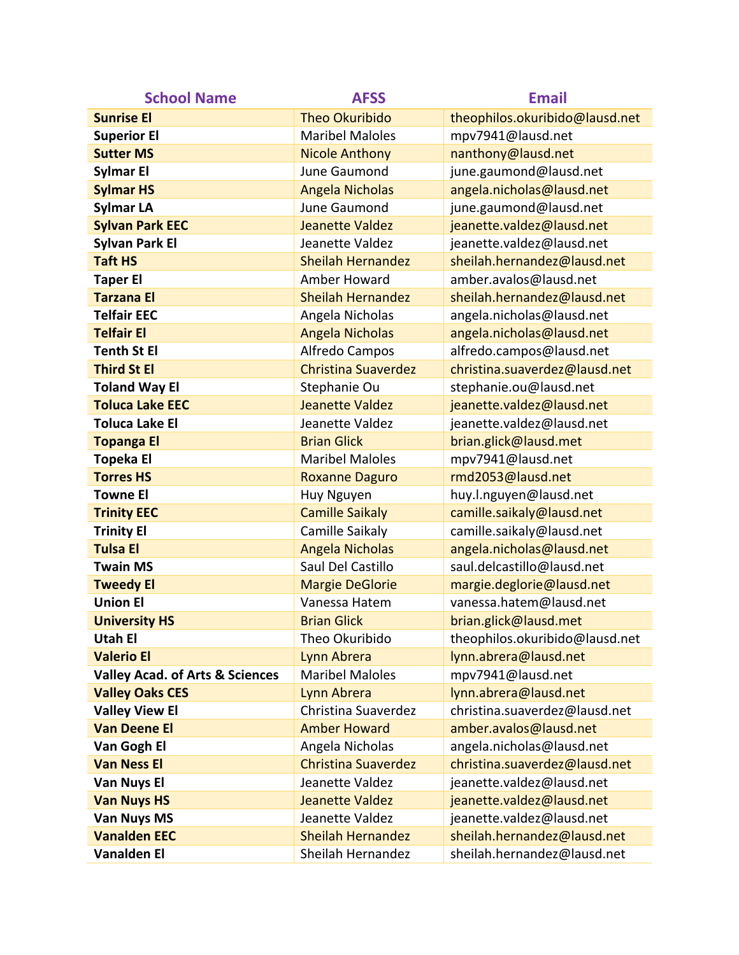| <b>School Name</b>                         | <b>AFSS</b>                | <b>Email</b>                   |
|--------------------------------------------|----------------------------|--------------------------------|
| <b>Sunrise El</b>                          | <b>Theo Okuribido</b>      | theophilos.okuribido@lausd.net |
| <b>Superior El</b>                         | <b>Maribel Maloles</b>     | mpv7941@lausd.net              |
| <b>Sutter MS</b>                           | <b>Nicole Anthony</b>      | nanthony@lausd.net             |
| Sylmar El                                  | June Gaumond               | june.gaumond@lausd.net         |
| <b>Sylmar HS</b>                           | <b>Angela Nicholas</b>     | angela.nicholas@lausd.net      |
| <b>Sylmar LA</b>                           | June Gaumond               | june.gaumond@lausd.net         |
| <b>Sylvan Park EEC</b>                     | Jeanette Valdez            | jeanette.valdez@lausd.net      |
| <b>Sylvan Park El</b>                      | Jeanette Valdez            | jeanette.valdez@lausd.net      |
| <b>Taft HS</b>                             | <b>Sheilah Hernandez</b>   | sheilah.hernandez@lausd.net    |
| <b>Taper El</b>                            | Amber Howard               | amber.avalos@lausd.net         |
| <b>Tarzana El</b>                          | <b>Sheilah Hernandez</b>   | sheilah.hernandez@lausd.net    |
| <b>Telfair EEC</b>                         | Angela Nicholas            | angela.nicholas@lausd.net      |
| <b>Telfair El</b>                          | <b>Angela Nicholas</b>     | angela.nicholas@lausd.net      |
| <b>Tenth St El</b>                         | Alfredo Campos             | alfredo.campos@lausd.net       |
| <b>Third St El</b>                         | <b>Christina Suaverdez</b> | christina.suaverdez@lausd.net  |
| <b>Toland Way El</b>                       | Stephanie Ou               | stephanie.ou@lausd.net         |
| <b>Toluca Lake EEC</b>                     | Jeanette Valdez            | jeanette.valdez@lausd.net      |
| <b>Toluca Lake El</b>                      | Jeanette Valdez            | jeanette.valdez@lausd.net      |
| <b>Topanga El</b>                          | <b>Brian Glick</b>         | brian.glick@lausd.met          |
| <b>Topeka El</b>                           | <b>Maribel Maloles</b>     | mpv7941@lausd.net              |
| <b>Torres HS</b>                           | <b>Roxanne Daguro</b>      | rmd2053@lausd.net              |
| <b>Towne El</b>                            | Huy Nguyen                 | huy.l.nguyen@lausd.net         |
| <b>Trinity EEC</b>                         | <b>Camille Saikaly</b>     | camille.saikaly@lausd.net      |
| <b>Trinity El</b>                          | Camille Saikaly            | camille.saikaly@lausd.net      |
| <b>Tulsa El</b>                            | <b>Angela Nicholas</b>     | angela.nicholas@lausd.net      |
| <b>Twain MS</b>                            | Saul Del Castillo          | saul.delcastillo@lausd.net     |
| <b>Tweedy El</b>                           | <b>Margie DeGlorie</b>     | margie.deglorie@lausd.net      |
| <b>Union El</b>                            | Vanessa Hatem              | vanessa.hatem@lausd.net        |
| <b>University HS</b>                       | <b>Brian Glick</b>         | brian.glick@lausd.met          |
| <b>Utah El</b>                             | Theo Okuribido             | theophilos.okuribido@lausd.net |
| <b>Valerio El</b>                          | Lynn Abrera                | lynn.abrera@lausd.net          |
| <b>Valley Acad. of Arts &amp; Sciences</b> | <b>Maribel Maloles</b>     | mpv7941@lausd.net              |
| <b>Valley Oaks CES</b>                     | Lynn Abrera                | lynn.abrera@lausd.net          |
| <b>Valley View El</b>                      | Christina Suaverdez        | christina.suaverdez@lausd.net  |
| <b>Van Deene El</b>                        | <b>Amber Howard</b>        | amber.avalos@lausd.net         |
| Van Gogh El                                | Angela Nicholas            | angela.nicholas@lausd.net      |
| <b>Van Ness El</b>                         | <b>Christina Suaverdez</b> | christina.suaverdez@lausd.net  |
| Van Nuys El                                | Jeanette Valdez            | jeanette.valdez@lausd.net      |
| <b>Van Nuys HS</b>                         | Jeanette Valdez            | jeanette.valdez@lausd.net      |
| <b>Van Nuys MS</b>                         | Jeanette Valdez            | jeanette.valdez@lausd.net      |
| <b>Vanalden EEC</b>                        | <b>Sheilah Hernandez</b>   | sheilah.hernandez@lausd.net    |
| <b>Vanalden El</b>                         | Sheilah Hernandez          | sheilah.hernandez@lausd.net    |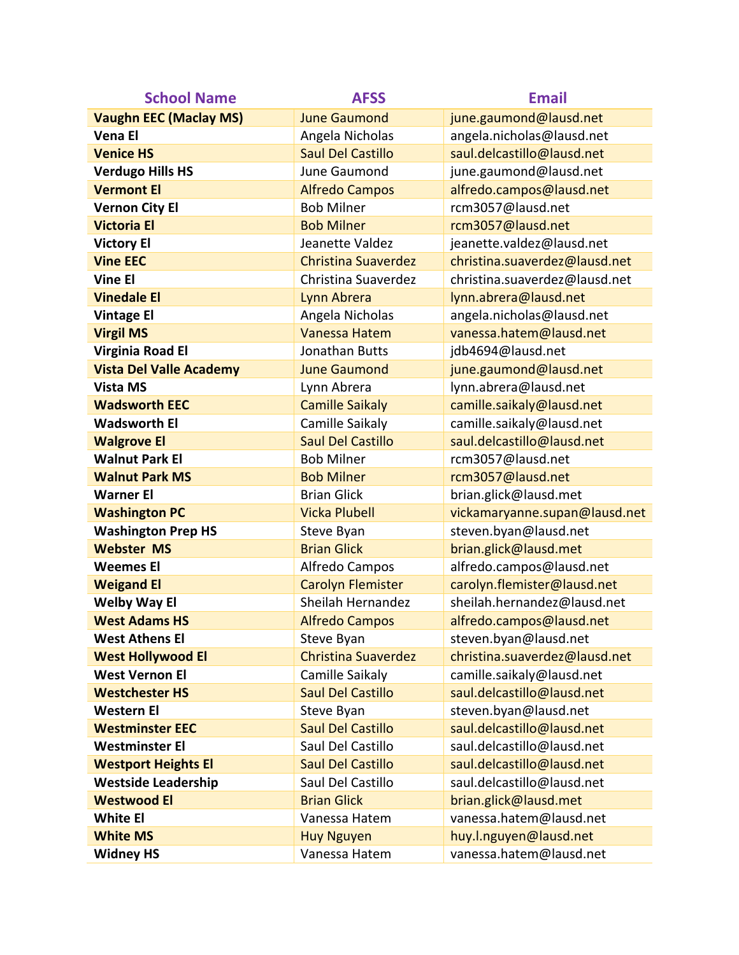| <b>School Name</b>             | <b>AFSS</b>                | <b>Email</b>                  |
|--------------------------------|----------------------------|-------------------------------|
| <b>Vaughn EEC (Maclay MS)</b>  | <b>June Gaumond</b>        | june.gaumond@lausd.net        |
| <b>Vena El</b>                 | Angela Nicholas            | angela.nicholas@lausd.net     |
| <b>Venice HS</b>               | <b>Saul Del Castillo</b>   | saul.delcastillo@lausd.net    |
| <b>Verdugo Hills HS</b>        | June Gaumond               | june.gaumond@lausd.net        |
| <b>Vermont El</b>              | <b>Alfredo Campos</b>      | alfredo.campos@lausd.net      |
| <b>Vernon City El</b>          | <b>Bob Milner</b>          | rcm3057@lausd.net             |
| <b>Victoria El</b>             | <b>Bob Milner</b>          | rcm3057@lausd.net             |
| <b>Victory El</b>              | Jeanette Valdez            | jeanette.valdez@lausd.net     |
| <b>Vine EEC</b>                | <b>Christina Suaverdez</b> | christina.suaverdez@lausd.net |
| <b>Vine El</b>                 | Christina Suaverdez        | christina.suaverdez@lausd.net |
| <b>Vinedale El</b>             | Lynn Abrera                | lynn.abrera@lausd.net         |
| <b>Vintage El</b>              | Angela Nicholas            | angela.nicholas@lausd.net     |
| <b>Virgil MS</b>               | <b>Vanessa Hatem</b>       | vanessa.hatem@lausd.net       |
| Virginia Road El               | <b>Jonathan Butts</b>      | jdb4694@lausd.net             |
| <b>Vista Del Valle Academy</b> | <b>June Gaumond</b>        | june.gaumond@lausd.net        |
| <b>Vista MS</b>                | Lynn Abrera                | lynn.abrera@lausd.net         |
| <b>Wadsworth EEC</b>           | <b>Camille Saikaly</b>     | camille.saikaly@lausd.net     |
| <b>Wadsworth El</b>            | Camille Saikaly            | camille.saikaly@lausd.net     |
| <b>Walgrove El</b>             | <b>Saul Del Castillo</b>   | saul.delcastillo@lausd.net    |
| <b>Walnut Park El</b>          | <b>Bob Milner</b>          | rcm3057@lausd.net             |
| <b>Walnut Park MS</b>          | <b>Bob Milner</b>          | rcm3057@lausd.net             |
| <b>Warner El</b>               | <b>Brian Glick</b>         | brian.glick@lausd.met         |
| <b>Washington PC</b>           | <b>Vicka Plubell</b>       | vickamaryanne.supan@lausd.net |
| <b>Washington Prep HS</b>      | Steve Byan                 | steven.byan@lausd.net         |
| <b>Webster MS</b>              | <b>Brian Glick</b>         | brian.glick@lausd.met         |
| <b>Weemes El</b>               | Alfredo Campos             | alfredo.campos@lausd.net      |
| <b>Weigand El</b>              | <b>Carolyn Flemister</b>   | carolyn.flemister@lausd.net   |
| <b>Welby Way El</b>            | Sheilah Hernandez          | sheilah.hernandez@lausd.net   |
| <b>West Adams HS</b>           | <b>Alfredo Campos</b>      | alfredo.campos@lausd.net      |
| <b>West Athens El</b>          | Steve Byan                 | steven.byan@lausd.net         |
| <b>West Hollywood El</b>       | <b>Christina Suaverdez</b> | christina.suaverdez@lausd.net |
| <b>West Vernon El</b>          | Camille Saikaly            | camille.saikaly@lausd.net     |
| <b>Westchester HS</b>          | <b>Saul Del Castillo</b>   | saul.delcastillo@lausd.net    |
| <b>Western El</b>              | Steve Byan                 | steven.byan@lausd.net         |
| <b>Westminster EEC</b>         | <b>Saul Del Castillo</b>   | saul.delcastillo@lausd.net    |
| <b>Westminster El</b>          | Saul Del Castillo          | saul.delcastillo@lausd.net    |
| <b>Westport Heights El</b>     | <b>Saul Del Castillo</b>   | saul.delcastillo@lausd.net    |
| <b>Westside Leadership</b>     | Saul Del Castillo          | saul.delcastillo@lausd.net    |
| <b>Westwood El</b>             | <b>Brian Glick</b>         | brian.glick@lausd.met         |
| <b>White El</b>                | Vanessa Hatem              | vanessa.hatem@lausd.net       |
| <b>White MS</b>                | <b>Huy Nguyen</b>          | huy.l.nguyen@lausd.net        |
| <b>Widney HS</b>               | Vanessa Hatem              | vanessa.hatem@lausd.net       |